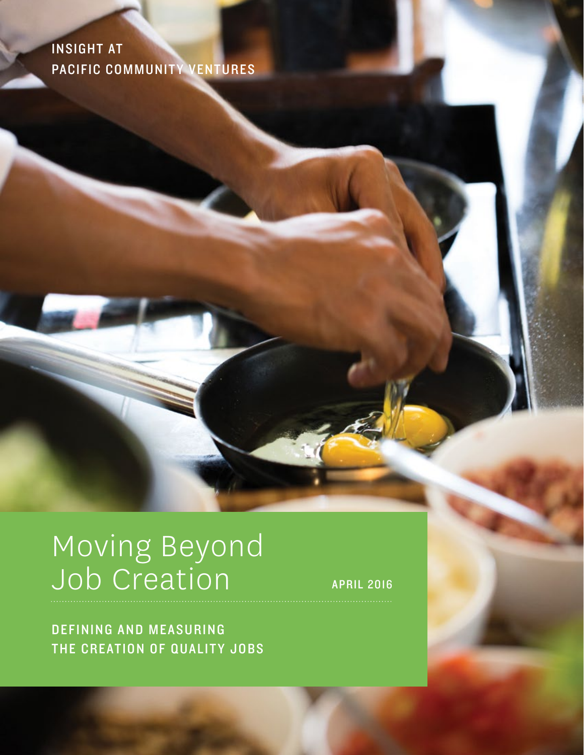## INSIGHT AT PACIFIC COMMUNITY VENTURES

# Moving Beyond Job Creation

APRIL 2016

DEFINING AND MEASURING THE CREATION OF QUALITY JOBS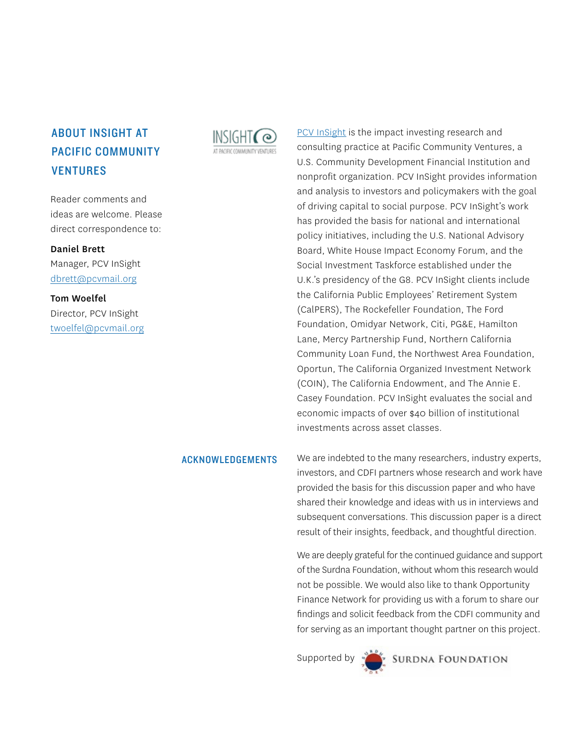### ABOUT INSIGHT AT PACIFIC COMMUNITY VENTURES



Reader comments and ideas are welcome. Please direct correspondence to:

Daniel Brett Manager, PCV InSight [dbrett@pcvmail.org](mailto:dbrett@pcvmail.org)

### Tom Woelfel Director, PCV InSight [twoelfel@pcvmail.org](mailto:twoelfel@pcvmail.org)

[PCV InSight](www.pacificcommunityventures.org/insight) is the impact investing research and consulting practice at Pacific Community Ventures, a U.S. Community Development Financial Institution and nonprofit organization. PCV InSight provides information and analysis to investors and policymakers with the goal of driving capital to social purpose. PCV InSight's work has provided the basis for national and international policy initiatives, including the U.S. National Advisory Board, White House Impact Economy Forum, and the Social Investment Taskforce established under the U.K.'s presidency of the G8. PCV InSight clients include the California Public Employees' Retirement System (CalPERS), The Rockefeller Foundation, The Ford Foundation, Omidyar Network, Citi, PG&E, Hamilton Lane, Mercy Partnership Fund, Northern California Community Loan Fund, the Northwest Area Foundation, Oportun, The California Organized Investment Network (COIN), The California Endowment, and The Annie E. Casey Foundation. PCV InSight evaluates the social and economic impacts of over \$40 billion of institutional investments across asset classes.

#### ACKNOWLEDGEMENTS

We are indebted to the many researchers, industry experts, investors, and CDFI partners whose research and work have provided the basis for this discussion paper and who have shared their knowledge and ideas with us in interviews and subsequent conversations. This discussion paper is a direct result of their insights, feedback, and thoughtful direction.

We are deeply grateful for the continued guidance and support of the Surdna Foundation, without whom this research would not be possible. We would also like to thank Opportunity Finance Network for providing us with a forum to share our findings and solicit feedback from the CDFI community and for serving as an important thought partner on this project.

Supported by **SURDNA FOUNDATION**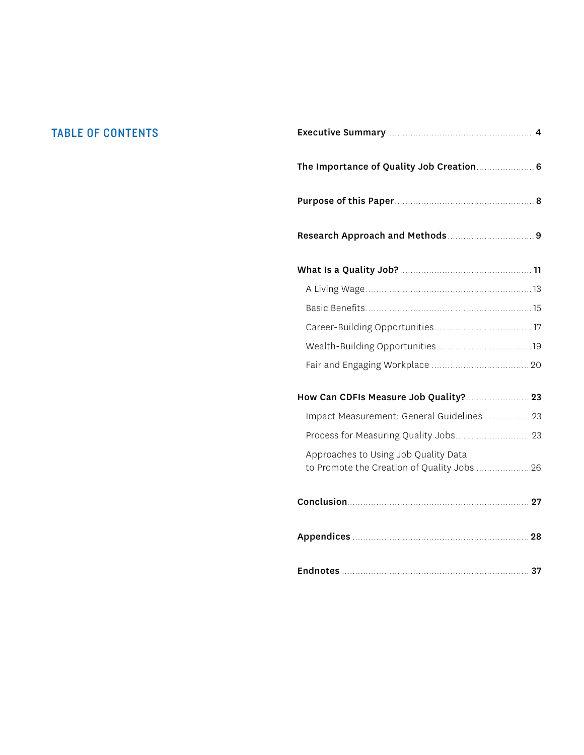### TABLE OF CONTENTS

| The Importance of Quality Job Creation 6                                            |  |
|-------------------------------------------------------------------------------------|--|
|                                                                                     |  |
|                                                                                     |  |
|                                                                                     |  |
|                                                                                     |  |
|                                                                                     |  |
|                                                                                     |  |
|                                                                                     |  |
|                                                                                     |  |
| How Can CDFIs Measure Job Quality?  23                                              |  |
| Impact Measurement: General Guidelines  23                                          |  |
|                                                                                     |  |
| Approaches to Using Job Quality Data<br>to Promote the Creation of Quality Jobs  26 |  |
|                                                                                     |  |
|                                                                                     |  |
|                                                                                     |  |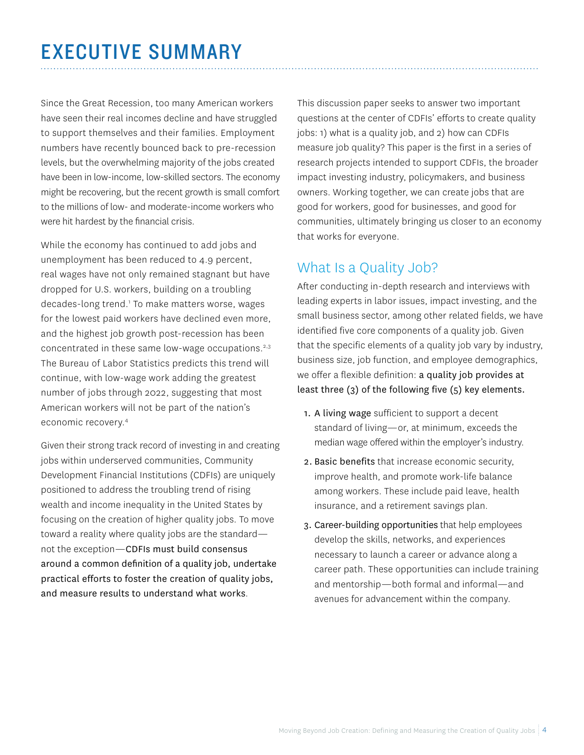## EXECUTIVE SUMMARY

Since the Great Recession, too many American workers have seen their real incomes decline and have struggled to support themselves and their families. Employment numbers have recently bounced back to pre-recession levels, but the overwhelming majority of the jobs created have been in low-income, low-skilled sectors. The economy might be recovering, but the recent growth is small comfort to the millions of low- and moderate-income workers who were hit hardest by the financial crisis.

While the economy has continued to add jobs and unemployment has been reduced to 4.9 percent, real wages have not only remained stagnant but have dropped for U.S. workers, building on a troubling decades-long trend.<sup>1</sup> To make matters worse, wages for the lowest paid workers have declined even more, and the highest job growth post-recession has been concentrated in these same low-wage occupations.<sup>2,3</sup> The Bureau of Labor Statistics predicts this trend will continue, with low-wage work adding the greatest number of jobs through 2022, suggesting that most American workers will not be part of the nation's economic recovery.4

Given their strong track record of investing in and creating jobs within underserved communities, Community Development Financial Institutions (CDFIs) are uniquely positioned to address the troubling trend of rising wealth and income inequality in the United States by focusing on the creation of higher quality jobs. To move toward a reality where quality jobs are the standard not the exception—CDFIs must build consensus around a common definition of a quality job, undertake practical efforts to foster the creation of quality jobs, and measure results to understand what works.

This discussion paper seeks to answer two important questions at the center of CDFIs' efforts to create quality jobs: 1) what is a quality job, and 2) how can CDFIs measure job quality? This paper is the first in a series of research projects intended to support CDFIs, the broader impact investing industry, policymakers, and business owners. Working together, we can create jobs that are good for workers, good for businesses, and good for communities, ultimately bringing us closer to an economy that works for everyone.

### What Is a Quality Job?

After conducting in-depth research and interviews with leading experts in labor issues, impact investing, and the small business sector, among other related fields, we have identified five core components of a quality job. Given that the specific elements of a quality job vary by industry, business size, job function, and employee demographics, we offer a flexible definition: a quality job provides at least three (3) of the following five (5) key elements.

- 1. A living wage sufficient to support a decent standard of living—or, at minimum, exceeds the median wage offered within the employer's industry.
- 2. Basic benefits that increase economic security, improve health, and promote work-life balance among workers. These include paid leave, health insurance, and a retirement savings plan.
- 3. Career-building opportunities that help employees develop the skills, networks, and experiences necessary to launch a career or advance along a career path. These opportunities can include training and mentorship—both formal and informal—and avenues for advancement within the company.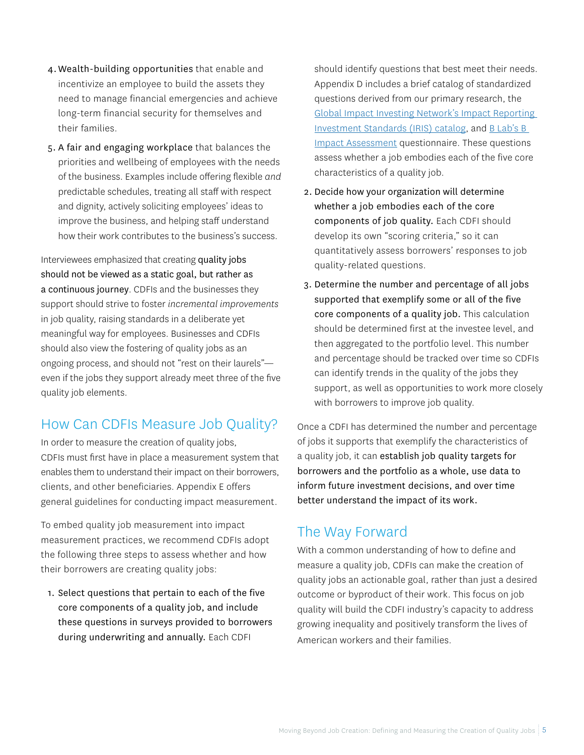- 4. Wealth-building opportunities that enable and incentivize an employee to build the assets they need to manage financial emergencies and achieve long-term financial security for themselves and their families.
- 5. A fair and engaging workplace that balances the priorities and wellbeing of employees with the needs of the business. Examples include offering flexible *and*  predictable schedules, treating all staff with respect and dignity, actively soliciting employees' ideas to improve the business, and helping staff understand how their work contributes to the business's success.

Interviewees emphasized that creating quality jobs should not be viewed as a static goal, but rather as a continuous journey. CDFIs and the businesses they support should strive to foster *incremental improvements* in job quality, raising standards in a deliberate yet meaningful way for employees. Businesses and CDFIs should also view the fostering of quality jobs as an ongoing process, and should not "rest on their laurels" even if the jobs they support already meet three of the five quality job elements.

### How Can CDFIs Measure Job Quality?

In order to measure the creation of quality jobs, CDFIs must first have in place a measurement system that enables them to understand their impact on their borrowers, clients, and other beneficiaries. Appendix E offers general guidelines for conducting impact measurement.

To embed quality job measurement into impact measurement practices, we recommend CDFIs adopt the following three steps to assess whether and how their borrowers are creating quality jobs:

1. Select questions that pertain to each of the five core components of a quality job, and include these questions in surveys provided to borrowers during underwriting and annually. Each CDFI

should identify questions that best meet their needs. Appendix D includes a brief catalog of standardized questions derived from our primary research, the [Global Impact Investing Network's Impact Reporting](https://iris.thegiin.org/)  [Investment Standards](https://iris.thegiin.org/) (IRIS) catalog, and [B Lab's B](http://bimpactassessment.net/)  [Impact Assessment](http://bimpactassessment.net/) questionnaire. These questions assess whether a job embodies each of the five core characteristics of a quality job.

- 2. Decide how your organization will determine whether a job embodies each of the core components of job quality. Each CDFI should develop its own "scoring criteria," so it can quantitatively assess borrowers' responses to job quality-related questions.
- 3. Determine the number and percentage of all jobs supported that exemplify some or all of the five core components of a quality job. This calculation should be determined first at the investee level, and then aggregated to the portfolio level. This number and percentage should be tracked over time so CDFIs can identify trends in the quality of the jobs they support, as well as opportunities to work more closely with borrowers to improve job quality.

Once a CDFI has determined the number and percentage of jobs it supports that exemplify the characteristics of a quality job, it can establish job quality targets for borrowers and the portfolio as a whole, use data to inform future investment decisions, and over time better understand the impact of its work.

### The Way Forward

With a common understanding of how to define and measure a quality job, CDFIs can make the creation of quality jobs an actionable goal, rather than just a desired outcome or byproduct of their work. This focus on job quality will build the CDFI industry's capacity to address growing inequality and positively transform the lives of American workers and their families.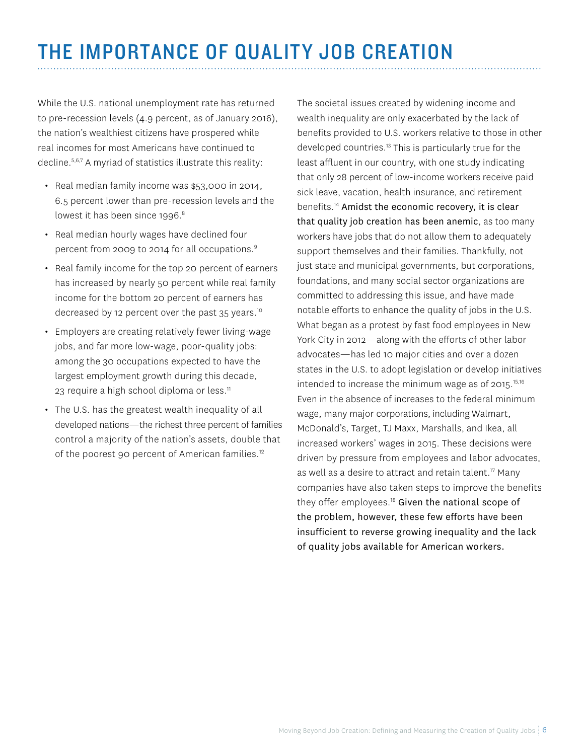## THE IMPORTANCE OF QUALITY JOB CREATION

While the U.S. national unemployment rate has returned to pre-recession levels (4.9 percent, as of January 2016), the nation's wealthiest citizens have prospered while real incomes for most Americans have continued to decline.5,6,7 A myriad of statistics illustrate this reality:

- Real median family income was \$53,000 in 2014, 6.5 percent lower than pre-recession levels and the lowest it has been since 1996.<sup>8</sup>
- Real median hourly wages have declined four percent from 2009 to 2014 for all occupations.9
- Real family income for the top 20 percent of earners has increased by nearly 50 percent while real family income for the bottom 20 percent of earners has decreased by 12 percent over the past 35 years.<sup>10</sup>
- Employers are creating relatively fewer living-wage jobs, and far more low-wage, poor-quality jobs: among the 30 occupations expected to have the largest employment growth during this decade, 23 require a high school diploma or less.<sup>11</sup>
- The U.S. has the greatest wealth inequality of all developed nations—the richest three percent of families control a majority of the nation's assets, double that of the poorest 90 percent of American families.<sup>12</sup>

The societal issues created by widening income and wealth inequality are only exacerbated by the lack of benefits provided to U.S. workers relative to those in other developed countries.<sup>13</sup> This is particularly true for the least affluent in our country, with one study indicating that only 28 percent of low-income workers receive paid sick leave, vacation, health insurance, and retirement benefits.<sup>14</sup> Amidst the economic recovery, it is clear that quality job creation has been anemic, as too many workers have jobs that do not allow them to adequately support themselves and their families. Thankfully, not just state and municipal governments, but corporations, foundations, and many social sector organizations are committed to addressing this issue, and have made notable efforts to enhance the quality of jobs in the U.S. What began as a protest by fast food employees in New York City in 2012—along with the efforts of other labor advocates—has led 10 major cities and over a dozen states in the U.S. to adopt legislation or develop initiatives intended to increase the minimum wage as of  $2015$ .<sup>15,16</sup> Even in the absence of increases to the federal minimum wage, many major corporations, including Walmart, McDonald's, Target, TJ Maxx, Marshalls, and Ikea, all increased workers' wages in 2015. These decisions were driven by pressure from employees and labor advocates, as well as a desire to attract and retain talent.<sup>17</sup> Many companies have also taken steps to improve the benefits they offer employees.<sup>18</sup> Given the national scope of the problem, however, these few efforts have been insufficient to reverse growing inequality and the lack of quality jobs available for American workers.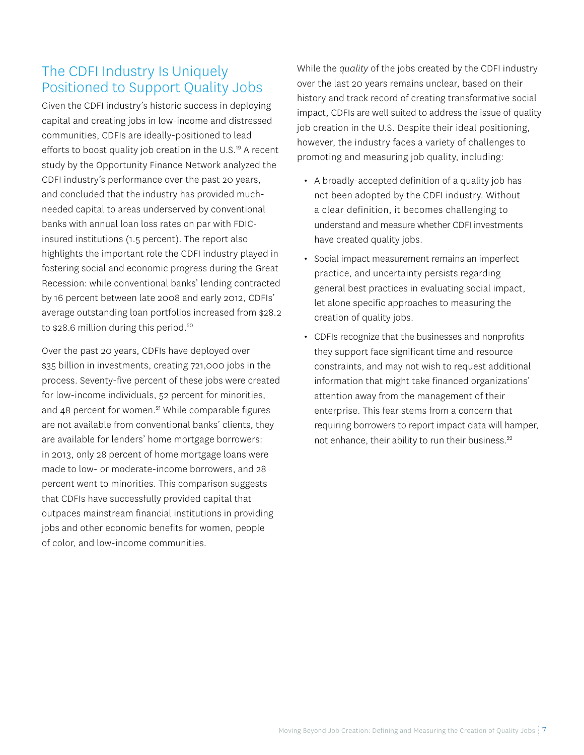### The CDFI Industry Is Uniquely Positioned to Support Quality Jobs

Given the CDFI industry's historic success in deploying capital and creating jobs in low-income and distressed communities, CDFIs are ideally-positioned to lead efforts to boost quality job creation in the U.S.<sup>19</sup> A recent study by the Opportunity Finance Network analyzed the CDFI industry's performance over the past 20 years, and concluded that the industry has provided muchneeded capital to areas underserved by conventional banks with annual loan loss rates on par with FDICinsured institutions (1.5 percent). The report also highlights the important role the CDFI industry played in fostering social and economic progress during the Great Recession: while conventional banks' lending contracted by 16 percent between late 2008 and early 2012, CDFIs' average outstanding loan portfolios increased from \$28.2 to \$28.6 million during this period.<sup>20</sup>

Over the past 20 years, CDFIs have deployed over \$35 billion in investments, creating 721,000 jobs in the process. Seventy-five percent of these jobs were created for low-income individuals, 52 percent for minorities, and 48 percent for women.<sup>21</sup> While comparable figures are not available from conventional banks' clients, they are available for lenders' home mortgage borrowers: in 2013, only 28 percent of home mortgage loans were made to low- or moderate-income borrowers, and 28 percent went to minorities. This comparison suggests that CDFIs have successfully provided capital that outpaces mainstream financial institutions in providing jobs and other economic benefits for women, people of color, and low-income communities.

While the *quality* of the jobs created by the CDFI industry over the last 20 years remains unclear, based on their history and track record of creating transformative social impact, CDFIs are well suited to address the issue of quality job creation in the U.S. Despite their ideal positioning, however, the industry faces a variety of challenges to promoting and measuring job quality, including:

- A broadly-accepted definition of a quality job has not been adopted by the CDFI industry. Without a clear definition, it becomes challenging to understand and measure whether CDFI investments have created quality jobs.
- Social impact measurement remains an imperfect practice, and uncertainty persists regarding general best practices in evaluating social impact, let alone specific approaches to measuring the creation of quality jobs.
- CDFIs recognize that the businesses and nonprofits they support face significant time and resource constraints, and may not wish to request additional information that might take financed organizations' attention away from the management of their enterprise. This fear stems from a concern that requiring borrowers to report impact data will hamper, not enhance, their ability to run their business.<sup>22</sup>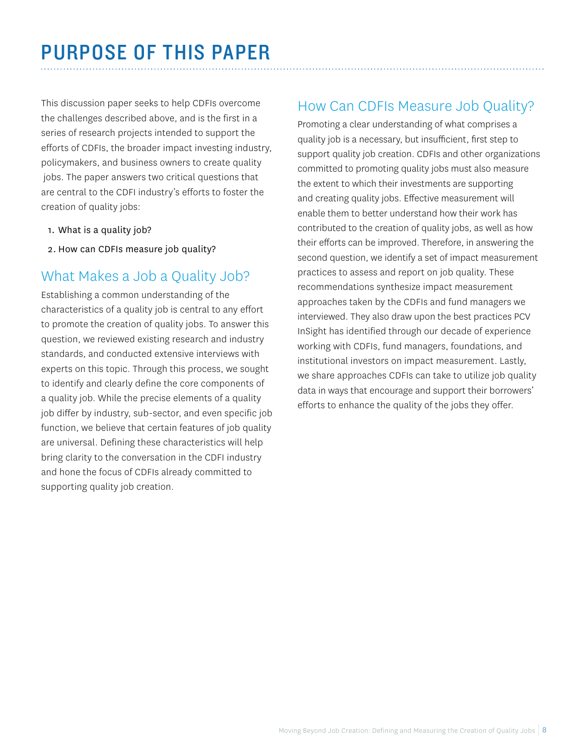## PURPOSE OF THIS PAPER

This discussion paper seeks to help CDFIs overcome the challenges described above, and is the first in a series of research projects intended to support the efforts of CDFIs, the broader impact investing industry, policymakers, and business owners to create quality jobs. The paper answers two critical questions that are central to the CDFI industry's efforts to foster the creation of quality jobs:

- 1. What is a quality job?
- 2. How can CDFIs measure job quality?

### What Makes a Job a Quality Job?

Establishing a common understanding of the characteristics of a quality job is central to any effort to promote the creation of quality jobs. To answer this question, we reviewed existing research and industry standards, and conducted extensive interviews with experts on this topic. Through this process, we sought to identify and clearly define the core components of a quality job. While the precise elements of a quality job differ by industry, sub-sector, and even specific job function, we believe that certain features of job quality are universal. Defining these characteristics will help bring clarity to the conversation in the CDFI industry and hone the focus of CDFIs already committed to supporting quality job creation.

### How Can CDFIs Measure Job Quality?

Promoting a clear understanding of what comprises a quality job is a necessary, but insufficient, first step to support quality job creation. CDFIs and other organizations committed to promoting quality jobs must also measure the extent to which their investments are supporting and creating quality jobs. Effective measurement will enable them to better understand how their work has contributed to the creation of quality jobs, as well as how their efforts can be improved. Therefore, in answering the second question, we identify a set of impact measurement practices to assess and report on job quality. These recommendations synthesize impact measurement approaches taken by the CDFIs and fund managers we interviewed. They also draw upon the best practices PCV InSight has identified through our decade of experience working with CDFIs, fund managers, foundations, and institutional investors on impact measurement. Lastly, we share approaches CDFIs can take to utilize job quality data in ways that encourage and support their borrowers' efforts to enhance the quality of the jobs they offer.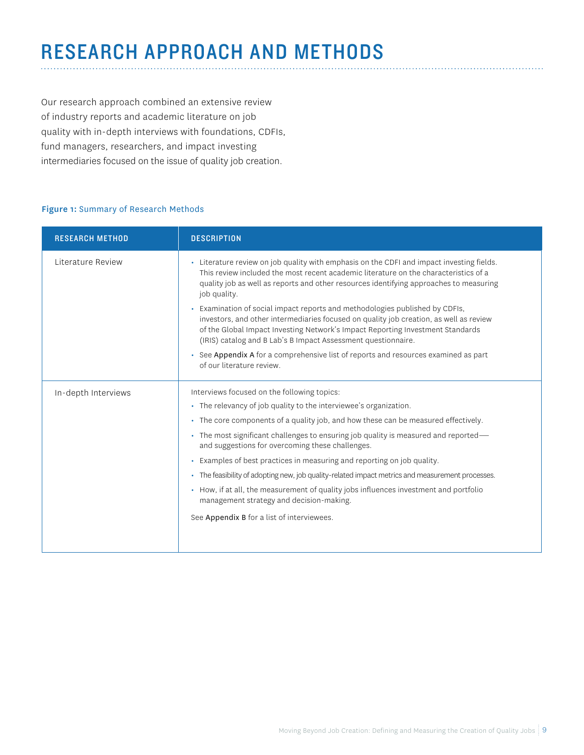## RESEARCH APPROACH AND METHODS

Our research approach combined an extensive review of industry reports and academic literature on job quality with in-depth interviews with foundations, CDFIs, fund managers, researchers, and impact investing intermediaries focused on the issue of quality job creation.

#### Figure 1: Summary of Research Methods

| <b>RESEARCH METHOD</b> | <b>DESCRIPTION</b>                                                                                                                                                                                                                                                                                                                                                                                                                                                                                                                                                                                                                                                                                              |
|------------------------|-----------------------------------------------------------------------------------------------------------------------------------------------------------------------------------------------------------------------------------------------------------------------------------------------------------------------------------------------------------------------------------------------------------------------------------------------------------------------------------------------------------------------------------------------------------------------------------------------------------------------------------------------------------------------------------------------------------------|
| Literature Review      | • Literature review on job quality with emphasis on the CDFI and impact investing fields.<br>This review included the most recent academic literature on the characteristics of a<br>quality job as well as reports and other resources identifying approaches to measuring<br>job quality.<br>• Examination of social impact reports and methodologies published by CDFIs,<br>investors, and other intermediaries focused on quality job creation, as well as review<br>of the Global Impact Investing Network's Impact Reporting Investment Standards<br>(IRIS) catalog and B Lab's B Impact Assessment questionnaire.<br>• See Appendix A for a comprehensive list of reports and resources examined as part |
|                        | of our literature review.                                                                                                                                                                                                                                                                                                                                                                                                                                                                                                                                                                                                                                                                                       |
| In-depth Interviews    | Interviews focused on the following topics:                                                                                                                                                                                                                                                                                                                                                                                                                                                                                                                                                                                                                                                                     |
|                        | • The relevancy of job quality to the interviewee's organization.                                                                                                                                                                                                                                                                                                                                                                                                                                                                                                                                                                                                                                               |
|                        | • The core components of a quality job, and how these can be measured effectively.                                                                                                                                                                                                                                                                                                                                                                                                                                                                                                                                                                                                                              |
|                        | • The most significant challenges to ensuring job quality is measured and reported—<br>and suggestions for overcoming these challenges.                                                                                                                                                                                                                                                                                                                                                                                                                                                                                                                                                                         |
|                        | Examples of best practices in measuring and reporting on job quality.                                                                                                                                                                                                                                                                                                                                                                                                                                                                                                                                                                                                                                           |
|                        | • The feasibility of adopting new, job quality-related impact metrics and measurement processes.                                                                                                                                                                                                                                                                                                                                                                                                                                                                                                                                                                                                                |
|                        | • How, if at all, the measurement of quality jobs influences investment and portfolio<br>management strategy and decision-making.                                                                                                                                                                                                                                                                                                                                                                                                                                                                                                                                                                               |
|                        | See Appendix B for a list of interviewees.                                                                                                                                                                                                                                                                                                                                                                                                                                                                                                                                                                                                                                                                      |
|                        |                                                                                                                                                                                                                                                                                                                                                                                                                                                                                                                                                                                                                                                                                                                 |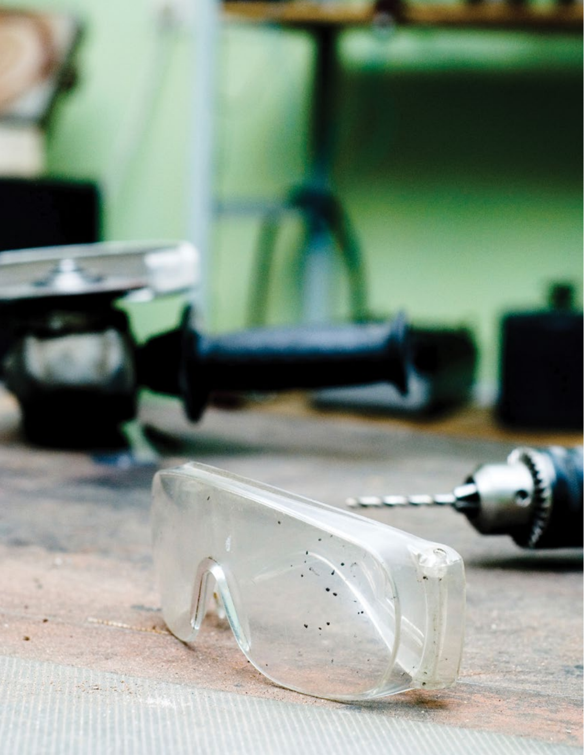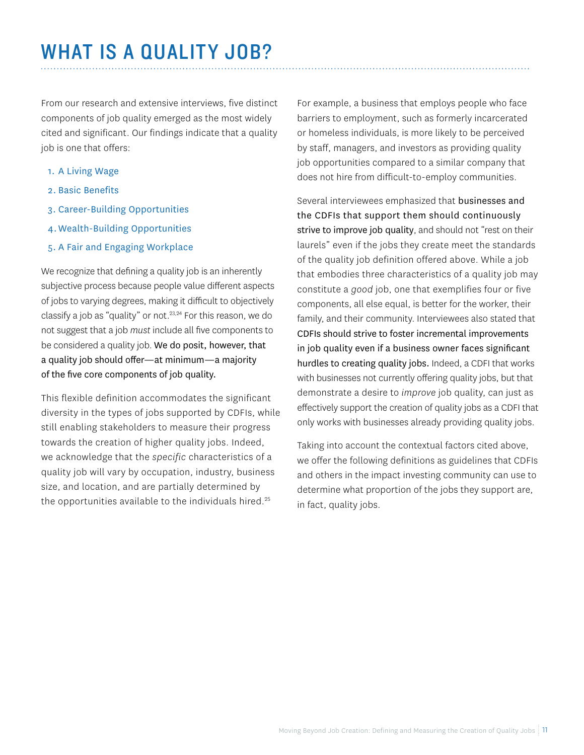## WHAT IS A QUALITY JOB?

From our research and extensive interviews, five distinct components of job quality emerged as the most widely cited and significant. Our findings indicate that a quality job is one that offers:

- 1. A Living Wage
- 2. Basic Benefits
- 3. Career-Building Opportunities
- 4. Wealth-Building Opportunities
- 5. A Fair and Engaging Workplace

We recognize that defining a quality job is an inherently subjective process because people value different aspects of jobs to varying degrees, making it difficult to objectively classify a job as "quality" or not.<sup>23,24</sup> For this reason, we do not suggest that a job *must* include all five components to be considered a quality job. We do posit, however, that a quality job should offer—at minimum—a majority of the five core components of job quality.

This flexible definition accommodates the significant diversity in the types of jobs supported by CDFIs, while still enabling stakeholders to measure their progress towards the creation of higher quality jobs. Indeed, we acknowledge that the *specific* characteristics of a quality job will vary by occupation, industry, business size, and location, and are partially determined by the opportunities available to the individuals hired.<sup>25</sup>

For example, a business that employs people who face barriers to employment, such as formerly incarcerated or homeless individuals, is more likely to be perceived by staff, managers, and investors as providing quality job opportunities compared to a similar company that does not hire from difficult-to-employ communities.

Several interviewees emphasized that businesses and the CDFIs that support them should continuously strive to improve job quality, and should not "rest on their laurels" even if the jobs they create meet the standards of the quality job definition offered above. While a job that embodies three characteristics of a quality job may constitute a *good* job, one that exemplifies four or five components, all else equal, is better for the worker, their family, and their community. Interviewees also stated that CDFIs should strive to foster incremental improvements in job quality even if a business owner faces significant hurdles to creating quality jobs. Indeed, a CDFI that works with businesses not currently offering quality jobs, but that demonstrate a desire to *improve* job quality, can just as effectively support the creation of quality jobs as a CDFI that only works with businesses already providing quality jobs.

Taking into account the contextual factors cited above, we offer the following definitions as guidelines that CDFIs and others in the impact investing community can use to determine what proportion of the jobs they support are, in fact, quality jobs.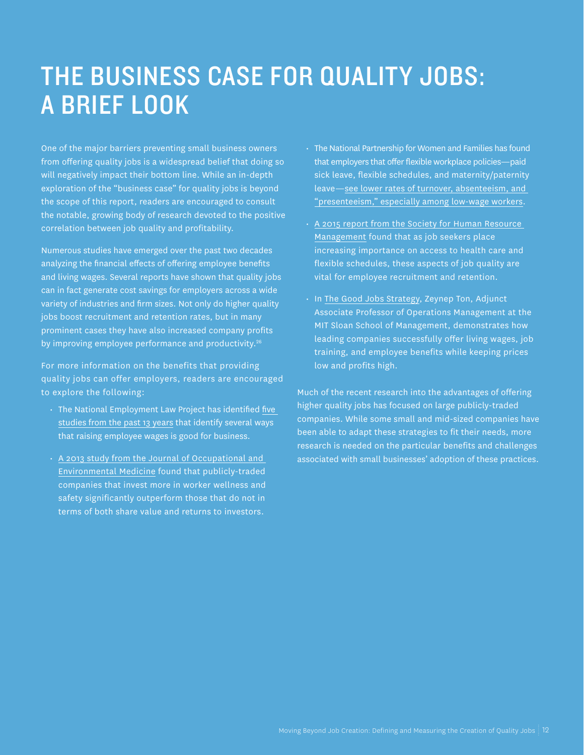# THE BUSINESS CASE FOR QUALITY JOBS: A BRIEF LOOK

One of the major barriers preventing small business owners from offering quality jobs is a widespread belief that doing so will negatively impact their bottom line. While an in-depth exploration of the "business case" for quality jobs is beyond the scope of this report, readers are encouraged to consult the notable, growing body of research devoted to the positive correlation between job quality and profitability.

Numerous studies have emerged over the past two decades analyzing the financial effects of offering employee benefits and living wages. Several reports have shown that quality jobs can in fact generate cost savings for employers across a wide variety of industries and firm sizes. Not only do higher quality jobs boost recruitment and retention rates, but in many prominent cases they have also increased company profits by improving employee performance and productivity.<sup>26</sup>

For more information on the benefits that providing quality jobs can offer employers, readers are encouraged to explore the following:

- The National Employment Law Project has identified [five](http://www.raisetheminimumwage.com/pages/business-case)  [studies from the past 13 years](http://www.raisetheminimumwage.com/pages/business-case) that identify several ways that raising employee wages is good for business.
- [A 2013 study from the Journal of Occupational and](http://www.bna.com/study-finds-link-n17179877352/)  [Environmental Medicine](http://www.bna.com/study-finds-link-n17179877352/) found that publicly-traded companies that invest more in worker wellness and safety significantly outperform those that do not in terms of both share value and returns to investors.
- The National Partnership for Women and Families has found that employers that offer flexible workplace policies—paid sick leave, flexible schedules, and maternity/paternity leave—[see lower rates of turnover, absenteeism, and](http://www.nationalpartnership.org/research-library/work-family/flexibility-for-success.pdf)  ["presenteeism," especially among low-wage workers](http://www.nationalpartnership.org/research-library/work-family/flexibility-for-success.pdf).
- [A 2015 report from the Society for Human Resource](http://www.shrm.org/Research/SurveyFindings/Articles/Documents/2015-Employee-Benefits.pdf)  [Management f](http://www.shrm.org/Research/SurveyFindings/Articles/Documents/2015-Employee-Benefits.pdf)ound that as job seekers place increasing importance on access to health care and flexible schedules, these aspects of job quality are vital for employee recruitment and retention.
- In [The Good Jobs Strategy](http://zeynepton.com/book/), Zeynep Ton, Adjunct Associate Professor of Operations Management at the MIT Sloan School of Management, demonstrates how leading companies successfully offer living wages, job training, and employee benefits while keeping prices low and profits high.

Much of the recent research into the advantages of offering higher quality jobs has focused on large publicly-traded companies. While some small and mid-sized companies have been able to adapt these strategies to fit their needs, more research is needed on the particular benefits and challenges associated with small businesses' adoption of these practices.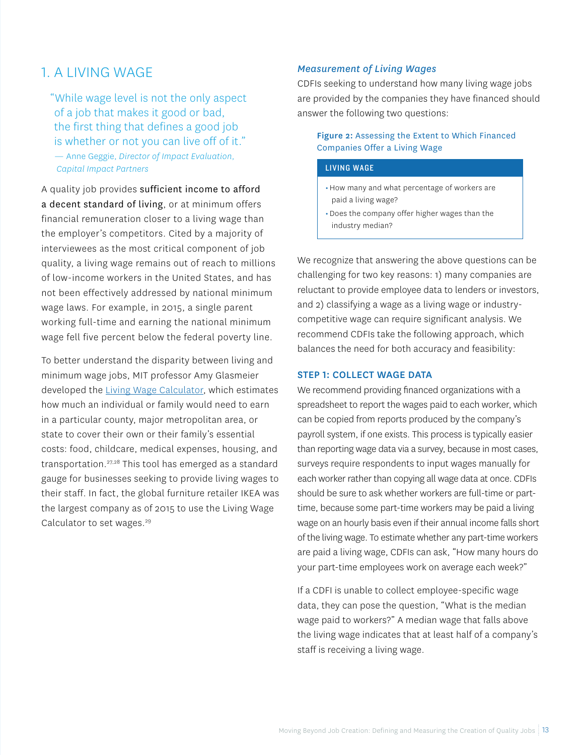### 1. A LIVING WAGE

"While wage level is not the only aspect of a job that makes it good or bad, the first thing that defines a good job is whether or not you can live off of it." — Anne Geggie, *Director of Impact Evaluation, Capital Impact Partners*

A quality job provides sufficient income to afford a decent standard of living, or at minimum offers financial remuneration closer to a living wage than the employer's competitors. Cited by a majority of interviewees as the most critical component of job quality, a living wage remains out of reach to millions of low-income workers in the United States, and has not been effectively addressed by national minimum wage laws. For example, in 2015, a single parent working full-time and earning the national minimum wage fell five percent below the federal poverty line.

To better understand the disparity between living and minimum wage jobs, MIT professor Amy Glasmeier developed the [Living Wage Calculator](http://livingwage.mit.edu/), which estimates how much an individual or family would need to earn in a particular county, major metropolitan area, or state to cover their own or their family's essential costs: food, childcare, medical expenses, housing, and transportation.27,28 This tool has emerged as a standard gauge for businesses seeking to provide living wages to their staff. In fact, the global furniture retailer IKEA was the largest company as of 2015 to use the Living Wage Calculator to set wages.<sup>29</sup>

#### *Measurement of Living Wages*

CDFIs seeking to understand how many living wage jobs are provided by the companies they have financed should answer the following two questions:

#### Figure 2: Assessing the Extent to Which Financed Companies Offer a Living Wage

#### LIVING WAGE

- How many and what percentage of workers are paid a living wage?
- Does the company offer higher wages than the industry median?

We recognize that answering the above questions can be challenging for two key reasons: 1) many companies are reluctant to provide employee data to lenders or investors, and 2) classifying a wage as a living wage or industrycompetitive wage can require significant analysis. We recommend CDFIs take the following approach, which balances the need for both accuracy and feasibility:

#### STEP 1: COLLECT WAGE DATA

We recommend providing financed organizations with a spreadsheet to report the wages paid to each worker, which can be copied from reports produced by the company's payroll system, if one exists. This process is typically easier than reporting wage data via a survey, because in most cases, surveys require respondents to input wages manually for each worker rather than copying all wage data at once. CDFIs should be sure to ask whether workers are full-time or parttime, because some part-time workers may be paid a living wage on an hourly basis even if their annual income falls short of the living wage. To estimate whether any part-time workers are paid a living wage, CDFIs can ask, "How many hours do your part-time employees work on average each week?"

If a CDFI is unable to collect employee-specific wage data, they can pose the question, "What is the median wage paid to workers?" A median wage that falls above the living wage indicates that at least half of a company's staff is receiving a living wage.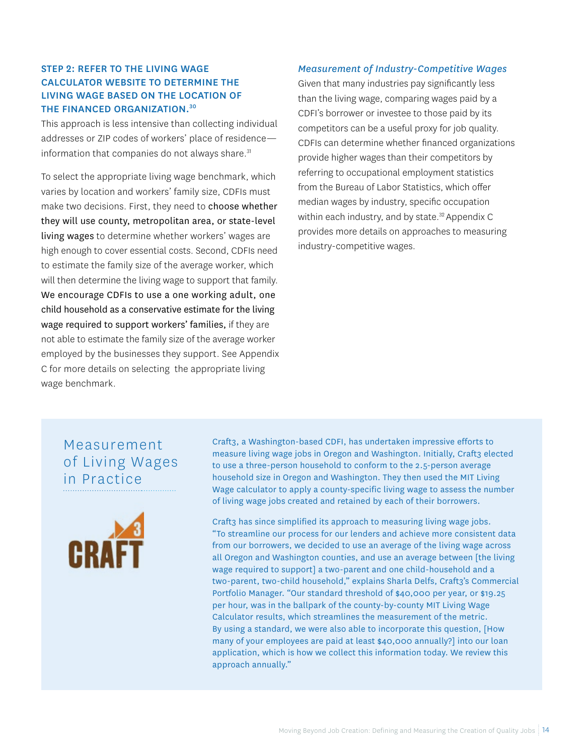#### STEP 2: REFER TO THE LIVING WAGE CALCULATOR WEBSITE TO DETERMINE THE LIVING WAGE BASED ON THE LOCATION OF THE FINANCED ORGANIZATION.30

This approach is less intensive than collecting individual addresses or ZIP codes of workers' place of residence information that companies do not always share.<sup>31</sup>

To select the appropriate living wage benchmark, which varies by location and workers' family size, CDFIs must make two decisions. First, they need to choose whether they will use county, metropolitan area, or state-level living wages to determine whether workers' wages are high enough to cover essential costs. Second, CDFIs need to estimate the family size of the average worker, which will then determine the living wage to support that family. We encourage CDFIs to use a one working adult, one child household as a conservative estimate for the living wage required to support workers' families, if they are not able to estimate the family size of the average worker employed by the businesses they support. See Appendix C for more details on selecting the appropriate living wage benchmark.

#### *Measurement of Industry-Competitive Wages*

Given that many industries pay significantly less than the living wage, comparing wages paid by a CDFI's borrower or investee to those paid by its competitors can be a useful proxy for job quality. CDFIs can determine whether financed organizations provide higher wages than their competitors by referring to occupational employment statistics from the Bureau of Labor Statistics, which offer median wages by industry, specific occupation within each industry, and by state.<sup>32</sup> Appendix C provides more details on approaches to measuring industry-competitive wages.

## Measurement of Living Wages in Practice



Craft3, a Washington-based CDFI, has undertaken impressive efforts to measure living wage jobs in Oregon and Washington. Initially, Craft3 elected to use a three-person household to conform to the 2.5-person average household size in Oregon and Washington. They then used the MIT Living Wage calculator to apply a county-specific living wage to assess the number of living wage jobs created and retained by each of their borrowers.

Craft3 has since simplified its approach to measuring living wage jobs. "To streamline our process for our lenders and achieve more consistent data from our borrowers, we decided to use an average of the living wage across all Oregon and Washington counties, and use an average between [the living wage required to support] a two-parent and one child-household and a two-parent, two-child household," explains Sharla Delfs, Craft3's Commercial Portfolio Manager. "Our standard threshold of \$40,000 per year, or \$19.25 per hour, was in the ballpark of the county-by-county MIT Living Wage Calculator results, which streamlines the measurement of the metric. By using a standard, we were also able to incorporate this question, [How many of your employees are paid at least \$40,000 annually?] into our loan application, which is how we collect this information today. We review this approach annually."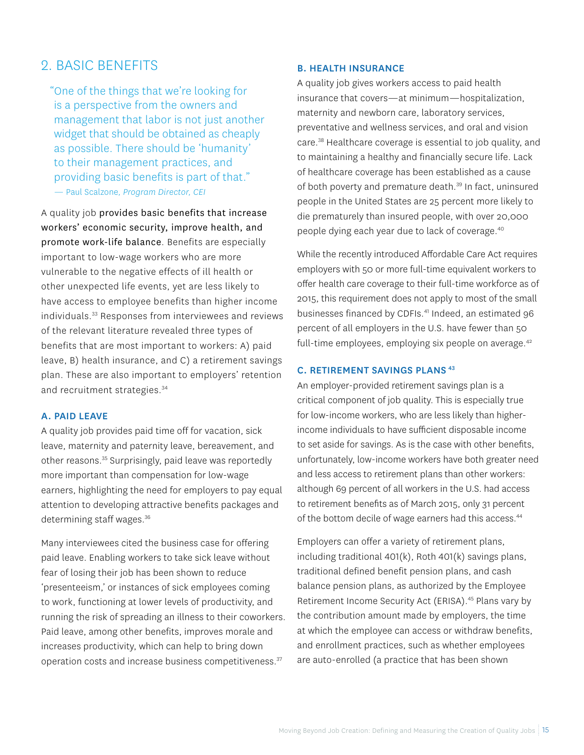### 2. BASIC BENEFITS

"One of the things that we're looking for is a perspective from the owners and management that labor is not just another widget that should be obtained as cheaply as possible. There should be 'humanity' to their management practices, and providing basic benefits is part of that." — Paul Scalzone*, Program Director, CEI*

A quality job provides basic benefits that increase workers' economic security, improve health, and promote work-life balance. Benefits are especially important to low-wage workers who are more vulnerable to the negative effects of ill health or other unexpected life events, yet are less likely to have access to employee benefits than higher income individuals.33 Responses from interviewees and reviews of the relevant literature revealed three types of benefits that are most important to workers: A) paid leave, B) health insurance, and C) a retirement savings plan. These are also important to employers' retention and recruitment strategies.<sup>34</sup>

#### A. PAID LEAVE

A quality job provides paid time off for vacation, sick leave, maternity and paternity leave, bereavement, and other reasons.35 Surprisingly, paid leave was reportedly more important than compensation for low-wage earners, highlighting the need for employers to pay equal attention to developing attractive benefits packages and determining staff wages.<sup>36</sup>

Many interviewees cited the business case for offering paid leave. Enabling workers to take sick leave without fear of losing their job has been shown to reduce 'presenteeism,' or instances of sick employees coming to work, functioning at lower levels of productivity, and running the risk of spreading an illness to their coworkers. Paid leave, among other benefits, improves morale and increases productivity, which can help to bring down operation costs and increase business competitiveness.<sup>37</sup>

#### B. HEALTH INSURANCE

A quality job gives workers access to paid health insurance that covers—at minimum—hospitalization, maternity and newborn care, laboratory services, preventative and wellness services, and oral and vision care.38 Healthcare coverage is essential to job quality, and to maintaining a healthy and financially secure life. Lack of healthcare coverage has been established as a cause of both poverty and premature death.<sup>39</sup> In fact, uninsured people in the United States are 25 percent more likely to die prematurely than insured people, with over 20,000 people dying each year due to lack of coverage.<sup>40</sup>

While the recently introduced Affordable Care Act requires employers with 50 or more full-time equivalent workers to offer health care coverage to their full-time workforce as of 2015, this requirement does not apply to most of the small businesses financed by CDFIs.<sup>41</sup> Indeed, an estimated 96 percent of all employers in the U.S. have fewer than 50 full-time employees, employing six people on average.<sup>42</sup>

#### C. RETIREMENT SAVINGS PLANS 43

An employer-provided retirement savings plan is a critical component of job quality. This is especially true for low-income workers, who are less likely than higherincome individuals to have sufficient disposable income to set aside for savings. As is the case with other benefits, unfortunately, low-income workers have both greater need and less access to retirement plans than other workers: although 69 percent of all workers in the U.S. had access to retirement benefits as of March 2015, only 31 percent of the bottom decile of wage earners had this access.<sup>44</sup>

Employers can offer a variety of retirement plans, including traditional 401(k), Roth 401(k) savings plans, traditional defined benefit pension plans, and cash balance pension plans, as authorized by the Employee Retirement Income Security Act (ERISA).<sup>45</sup> Plans vary by the contribution amount made by employers, the time at which the employee can access or withdraw benefits, and enrollment practices, such as whether employees are auto-enrolled (a practice that has been shown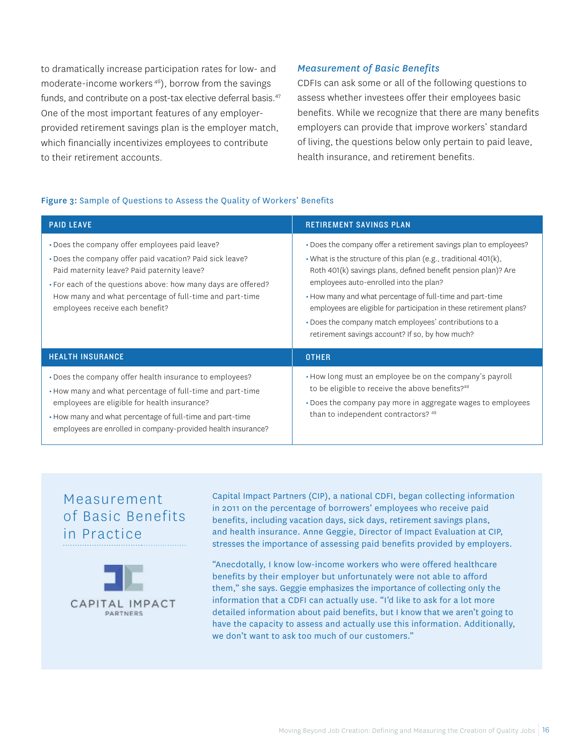to dramatically increase participation rates for low- and moderate-income workers 46), borrow from the savings funds, and contribute on a post-tax elective deferral basis.<sup>47</sup> One of the most important features of any employerprovided retirement savings plan is the employer match, which financially incentivizes employees to contribute to their retirement accounts.

#### *Measurement of Basic Benefits*

CDFIs can ask some or all of the following questions to assess whether investees offer their employees basic benefits. While we recognize that there are many benefits employers can provide that improve workers' standard of living, the questions below only pertain to paid leave, health insurance, and retirement benefits.

#### Figure 3: Sample of Questions to Assess the Quality of Workers' Benefits

| <b>PAID LEAVE</b>                                                                                                                                                                                                                                                                                                        | <b>RETIREMENT SAVINGS PLAN</b>                                                                                                                                                                                                                                                                                                                                                                                                                                                                  |
|--------------------------------------------------------------------------------------------------------------------------------------------------------------------------------------------------------------------------------------------------------------------------------------------------------------------------|-------------------------------------------------------------------------------------------------------------------------------------------------------------------------------------------------------------------------------------------------------------------------------------------------------------------------------------------------------------------------------------------------------------------------------------------------------------------------------------------------|
| • Does the company offer employees paid leave?<br>. Does the company offer paid vacation? Paid sick leave?<br>Paid maternity leave? Paid paternity leave?<br>• For each of the questions above: how many days are offered?<br>How many and what percentage of full-time and part-time<br>employees receive each benefit? | • Does the company offer a retirement savings plan to employees?<br>. What is the structure of this plan (e.g., traditional 401(k),<br>Roth 401(k) savings plans, defined benefit pension plan)? Are<br>employees auto-enrolled into the plan?<br>• How many and what percentage of full-time and part-time<br>employees are eligible for participation in these retirement plans?<br>• Does the company match employees' contributions to a<br>retirement savings account? If so, by how much? |
| <b>HEALTH INSURANCE</b>                                                                                                                                                                                                                                                                                                  | <b>OTHER</b>                                                                                                                                                                                                                                                                                                                                                                                                                                                                                    |
| • Does the company offer health insurance to employees?<br>• How many and what percentage of full-time and part-time<br>employees are eligible for health insurance?<br>• How many and what percentage of full-time and part-time<br>employees are enrolled in company-provided health insurance?                        | • How long must an employee be on the company's payroll<br>to be eligible to receive the above benefits? <sup>48</sup><br>• Does the company pay more in aggregate wages to employees<br>than to independent contractors? 49                                                                                                                                                                                                                                                                    |

## Measurement of Basic Benefits in Practice



Capital Impact Partners (CIP), a national CDFI, began collecting information in 2011 on the percentage of borrowers' employees who receive paid benefits, including vacation days, sick days, retirement savings plans, and health insurance. Anne Geggie, Director of Impact Evaluation at CIP, stresses the importance of assessing paid benefits provided by employers.

"Anecdotally, I know low-income workers who were offered healthcare benefits by their employer but unfortunately were not able to afford them," she says. Geggie emphasizes the importance of collecting only the information that a CDFI can actually use. "I'd like to ask for a lot more detailed information about paid benefits, but I know that we aren't going to have the capacity to assess and actually use this information. Additionally, we don't want to ask too much of our customers."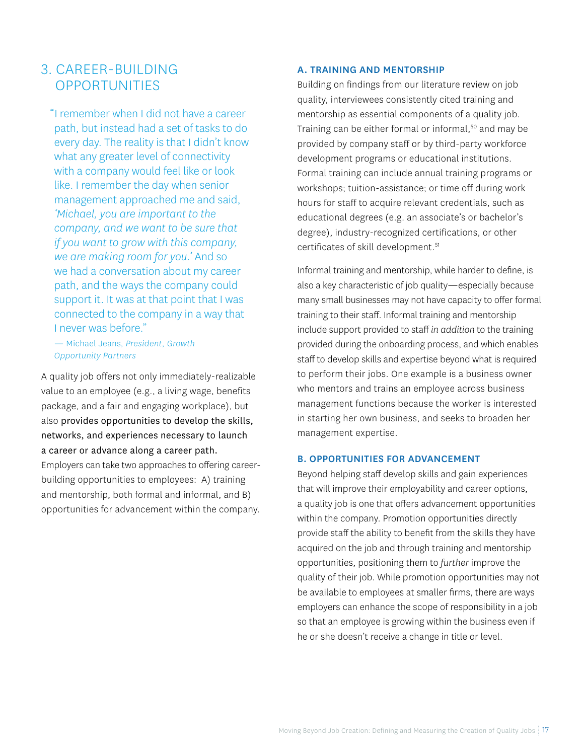### 3. CAREER-BUILDING OPPORTUNITIES

"I remember when I did not have a career path, but instead had a set of tasks to do every day. The reality is that I didn't know what any greater level of connectivity with a company would feel like or look like. I remember the day when senior management approached me and said, *'Michael, you are important to the company, and we want to be sure that if you want to grow with this company, we are making room for you.'* And so we had a conversation about my career path, and the ways the company could support it. It was at that point that I was connected to the company in a way that I never was before."

— Michael Jeans*, President, Growth Opportunity Partners*

A quality job offers not only immediately-realizable value to an employee (e.g., a living wage, benefits package, and a fair and engaging workplace), but also provides opportunities to develop the skills, networks, and experiences necessary to launch a career or advance along a career path. Employers can take two approaches to offering career-

building opportunities to employees: A) training and mentorship, both formal and informal, and B) opportunities for advancement within the company.

#### A. TRAINING AND MENTORSHIP

Building on findings from our literature review on job quality, interviewees consistently cited training and mentorship as essential components of a quality job. Training can be either formal or informal,<sup>50</sup> and may be provided by company staff or by third-party workforce development programs or educational institutions. Formal training can include annual training programs or workshops; tuition-assistance; or time off during work hours for staff to acquire relevant credentials, such as educational degrees (e.g. an associate's or bachelor's degree), industry-recognized certifications, or other certificates of skill development.<sup>51</sup>

Informal training and mentorship, while harder to define, is also a key characteristic of job quality—especially because many small businesses may not have capacity to offer formal training to their staff. Informal training and mentorship include support provided to staff *in addition* to the training provided during the onboarding process, and which enables staff to develop skills and expertise beyond what is required to perform their jobs. One example is a business owner who mentors and trains an employee across business management functions because the worker is interested in starting her own business, and seeks to broaden her management expertise.

#### B. OPPORTUNITIES FOR ADVANCEMENT

Beyond helping staff develop skills and gain experiences that will improve their employability and career options, a quality job is one that offers advancement opportunities within the company. Promotion opportunities directly provide staff the ability to benefit from the skills they have acquired on the job and through training and mentorship opportunities, positioning them to *further* improve the quality of their job. While promotion opportunities may not be available to employees at smaller firms, there are ways employers can enhance the scope of responsibility in a job so that an employee is growing within the business even if he or she doesn't receive a change in title or level.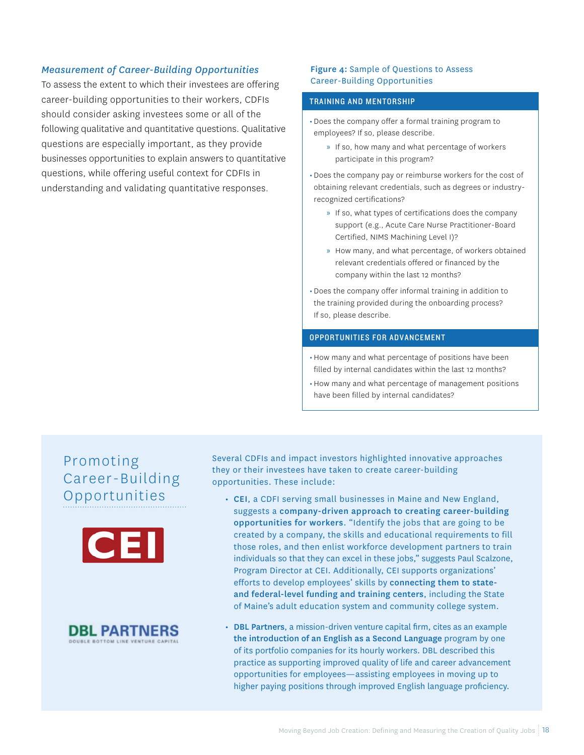#### *Measurement of Career-Building Opportunities*

To assess the extent to which their investees are offering career-building opportunities to their workers, CDFIs should consider asking investees some or all of the following qualitative and quantitative questions. Qualitative questions are especially important, as they provide businesses opportunities to explain answers to quantitative questions, while offering useful context for CDFIs in understanding and validating quantitative responses.

#### Figure 4: Sample of Questions to Assess Career-Building Opportunities

#### TRAINING AND MENTORSHIP

• Does the company offer a formal training program to employees? If so, please describe.

- » If so, how many and what percentage of workers participate in this program?
- Does the company pay or reimburse workers for the cost of obtaining relevant credentials, such as degrees or industryrecognized certifications?
	- » If so, what types of certifications does the company support (e.g., Acute Care Nurse Practitioner-Board Certified, NIMS Machining Level I)?
	- » How many, and what percentage, of workers obtained relevant credentials offered or financed by the company within the last 12 months?
- Does the company offer informal training in addition to the training provided during the onboarding process? If so, please describe.

#### OPPORTUNITIES FOR ADVANCEMENT

- How many and what percentage of positions have been filled by internal candidates within the last 12 months?
- How many and what percentage of management positions have been filled by internal candidates?

### Promoting Career-Building Opportunities





Several CDFIs and impact investors highlighted innovative approaches they or their investees have taken to create career-building opportunities. These include:

- CEI, a CDFI serving small businesses in Maine and New England, suggests a company-driven approach to creating career-building opportunities for workers. "Identify the jobs that are going to be created by a company, the skills and educational requirements to fill those roles, and then enlist workforce development partners to train individuals so that they can excel in these jobs," suggests Paul Scalzone, Program Director at CEI. Additionally, CEI supports organizations' efforts to develop employees' skills by connecting them to stateand federal-level funding and training centers, including the State of Maine's adult education system and community college system.
- DBL Partners, a mission-driven venture capital firm, cites as an example the introduction of an English as a Second Language program by one of its portfolio companies for its hourly workers. DBL described this practice as supporting improved quality of life and career advancement opportunities for employees—assisting employees in moving up to higher paying positions through improved English language proficiency.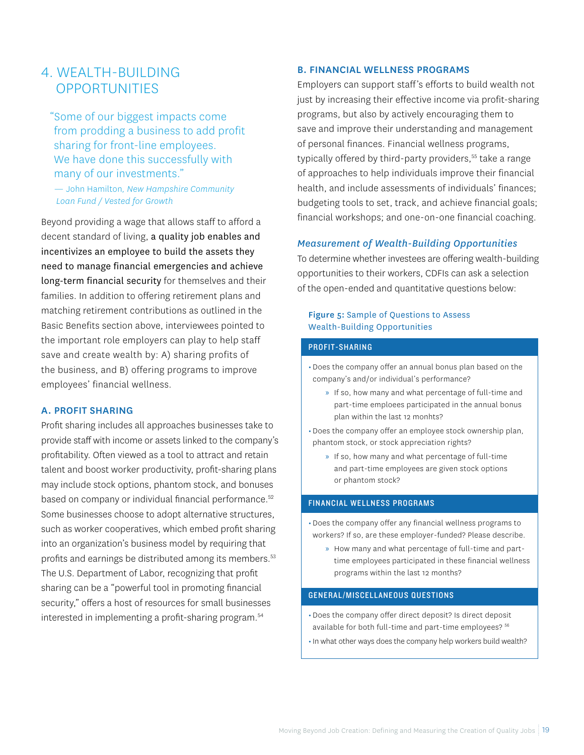### 4. WEALTH-BUILDING OPPORTUNITIES

"Some of our biggest impacts come from prodding a business to add profit sharing for front-line employees. We have done this successfully with many of our investments." — John Hamilton*, New Hampshire Community Loan Fund / Vested for Growth*

Beyond providing a wage that allows staff to afford a decent standard of living, a quality job enables and incentivizes an employee to build the assets they need to manage financial emergencies and achieve long-term financial security for themselves and their families. In addition to offering retirement plans and matching retirement contributions as outlined in the Basic Benefits section above, interviewees pointed to the important role employers can play to help staff save and create wealth by: A) sharing profits of the business, and B) offering programs to improve employees' financial wellness.

#### A. PROFIT SHARING

Profit sharing includes all approaches businesses take to provide staff with income or assets linked to the company's profitability. Often viewed as a tool to attract and retain talent and boost worker productivity, profit-sharing plans may include stock options, phantom stock, and bonuses based on company or individual financial performance.<sup>52</sup> Some businesses choose to adopt alternative structures, such as worker cooperatives, which embed profit sharing into an organization's business model by requiring that profits and earnings be distributed among its members.<sup>53</sup> The U.S. Department of Labor, recognizing that profit sharing can be a "powerful tool in promoting financial security," offers a host of resources for small businesses interested in implementing a profit-sharing program.<sup>54</sup>

#### B. FINANCIAL WELLNESS PROGRAMS

Employers can support staff's efforts to build wealth not just by increasing their effective income via profit-sharing programs, but also by actively encouraging them to save and improve their understanding and management of personal finances. Financial wellness programs, typically offered by third-party providers,<sup>55</sup> take a range of approaches to help individuals improve their financial health, and include assessments of individuals' finances; budgeting tools to set, track, and achieve financial goals; financial workshops; and one-on-one financial coaching.

#### *Measurement of Wealth-Building Opportunities*

To determine whether investees are offering wealth-building opportunities to their workers, CDFIs can ask a selection of the open-ended and quantitative questions below:

#### Figure 5: Sample of Questions to Assess Wealth-Building Opportunities

#### PROFIT-SHARING

• Does the company offer an annual bonus plan based on the company's and/or individual's performance?

» If so, how many and what percentage of full-time and part-time emploees participated in the annual bonus plan within the last 12 monhts?

• Does the company offer an employee stock ownership plan, phantom stock, or stock appreciation rights?

» If so, how many and what percentage of full-time and part-time employees are given stock options or phantom stock?

#### FINANCIAL WELLNESS PROGRAMS

• Does the company offer any financial wellness programs to workers? If so, are these employer-funded? Please describe.

» How many and what percentage of full-time and parttime employees participated in these financial wellness programs within the last 12 months?

#### GENERAL/MISCELLANEOUS QUESTIONS

- Does the company offer direct deposit? Is direct deposit available for both full-time and part-time employees? 56
- •In what other ways does the company help workers build wealth?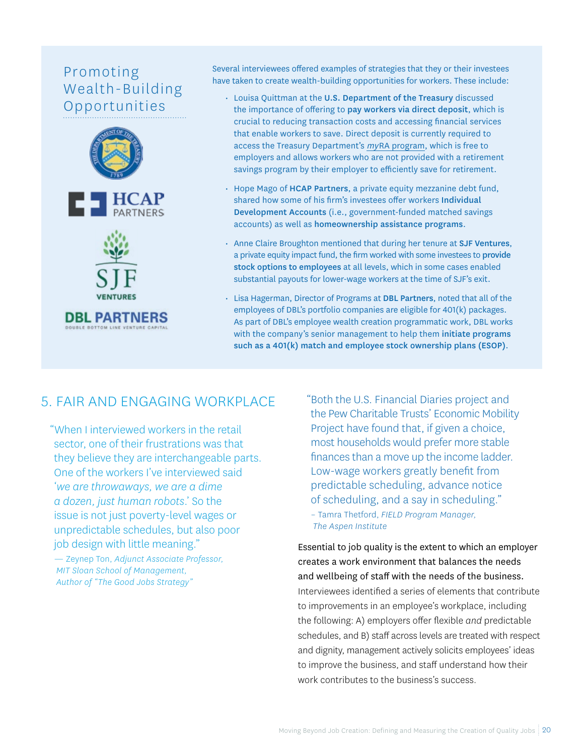## Promoting Wealth-Building Opportunities



Several interviewees offered examples of strategies that they or their investees have taken to create wealth-building opportunities for workers. These include:

- Louisa Quittman at the U.S. Department of the Treasury discussed the importance of offering to pay workers via direct deposit, which is crucial to reducing transaction costs and accessing financial services that enable workers to save. Direct deposit is currently required to access the Treasury Department's my[RA program,](https://myra.gov/) which is free to employers and allows workers who are not provided with a retirement savings program by their employer to efficiently save for retirement.
- Hope Mago of HCAP Partners, a private equity mezzanine debt fund, shared how some of his firm's investees offer workers Individual Development Accounts (i.e., government-funded matched savings accounts) as well as homeownership assistance programs.
- Anne Claire Broughton mentioned that during her tenure at SJF Ventures, a private equity impact fund, the firm worked with some investees to provide stock options to employees at all levels, which in some cases enabled substantial payouts for lower-wage workers at the time of SJF's exit.
- Lisa Hagerman, Director of Programs at DBL Partners, noted that all of the employees of DBL's portfolio companies are eligible for 401(k) packages. As part of DBL's employee wealth creation programmatic work, DBL works with the company's senior management to help them initiate programs such as a 401(k) match and employee stock ownership plans (ESOP).

## 5. FAIR AND ENGAGING WORKPLACE

"When I interviewed workers in the retail sector, one of their frustrations was that they believe they are interchangeable parts. One of the workers I've interviewed said '*we are throwaways, we are a dime a dozen, just human robots*.' So the issue is not just poverty-level wages or unpredictable schedules, but also poor job design with little meaning."

— Zeynep Ton, *Adjunct Associate Professor, MIT Sloan School of Management, Author of "The Good Jobs Strategy"*

"Both the U.S. Financial Diaries project and the Pew Charitable Trusts' Economic Mobility Project have found that, if given a choice, most households would prefer more stable finances than a move up the income ladder. Low-wage workers greatly benefit from predictable scheduling, advance notice of scheduling, and a say in scheduling." – Tamra Thetford, *FIELD Program Manager, The Aspen Institute*

Essential to job quality is the extent to which an employer creates a work environment that balances the needs and wellbeing of staff with the needs of the business. Interviewees identified a series of elements that contribute to improvements in an employee's workplace, including the following: A) employers offer flexible *and* predictable schedules, and B) staff across levels are treated with respect and dignity, management actively solicits employees' ideas to improve the business, and staff understand how their work contributes to the business's success.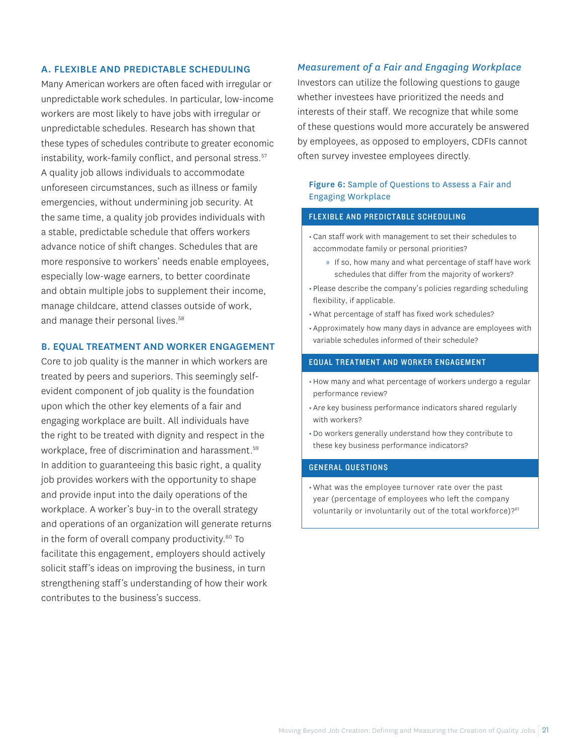#### A. FLEXIBLE AND PREDICTABLE SCHEDULING

Many American workers are often faced with irregular or unpredictable work schedules. In particular, low-income workers are most likely to have jobs with irregular or unpredictable schedules. Research has shown that these types of schedules contribute to greater economic instability, work-family conflict, and personal stress.<sup>57</sup> A quality job allows individuals to accommodate unforeseen circumstances, such as illness or family emergencies, without undermining job security. At the same time, a quality job provides individuals with a stable, predictable schedule that offers workers advance notice of shift changes. Schedules that are more responsive to workers' needs enable employees, especially low-wage earners, to better coordinate and obtain multiple jobs to supplement their income, manage childcare, attend classes outside of work, and manage their personal lives.<sup>58</sup>

#### B. EQUAL TREATMENT AND WORKER ENGAGEMENT

Core to job quality is the manner in which workers are treated by peers and superiors. This seemingly selfevident component of job quality is the foundation upon which the other key elements of a fair and engaging workplace are built. All individuals have the right to be treated with dignity and respect in the workplace, free of discrimination and harassment.<sup>59</sup> In addition to guaranteeing this basic right, a quality job provides workers with the opportunity to shape and provide input into the daily operations of the workplace. A worker's buy-in to the overall strategy and operations of an organization will generate returns in the form of overall company productivity.<sup>60</sup> To facilitate this engagement, employers should actively solicit staff's ideas on improving the business, in turn strengthening staff's understanding of how their work contributes to the business's success.

#### *Measurement of a Fair and Engaging Workplace*

Investors can utilize the following questions to gauge whether investees have prioritized the needs and interests of their staff. We recognize that while some of these questions would more accurately be answered by employees, as opposed to employers, CDFIs cannot often survey investee employees directly.

#### Figure 6: Sample of Questions to Assess a Fair and Engaging Workplace

#### FLEXIBLE AND PREDICTABLE SCHEDULING

- Can staff work with management to set their schedules to accommodate family or personal priorities?
	- » If so, how many and what percentage of staff have work schedules that differ from the majority of workers?
- Please describe the company's policies regarding scheduling flexibility, if applicable.
- What percentage of staff has fixed work schedules?
- Approximately how many days in advance are employees with variable schedules informed of their schedule?

#### EQUAL TREATMENT AND WORKER ENGAGEMENT

- How many and what percentage of workers undergo a regular performance review?
- Are key business performance indicators shared regularly with workers?
- Do workers generally understand how they contribute to these key business performance indicators?

#### GENERAL QUESTIONS

• What was the employee turnover rate over the past year (percentage of employees who left the company voluntarily or involuntarily out of the total workforce)?<sup>61</sup>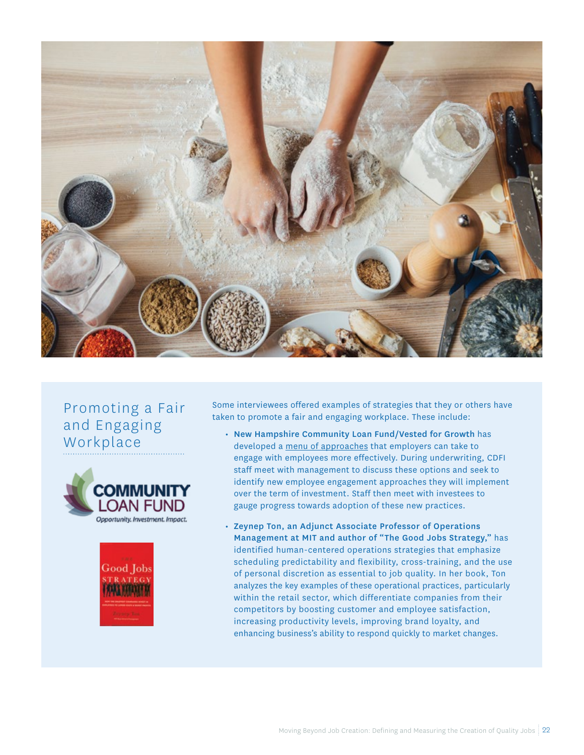

## Promoting a Fair and Engaging Workplace





Some interviewees offered examples of strategies that they or others have taken to promote a fair and engaging workplace. These include:

- New Hampshire Community Loan Fund/Vested for Growth has developed a [menu of approaches](http://www.vestedforgrowth.com/uploads/engage-employees.pdf) that employers can take to engage with employees more effectively. During underwriting, CDFI staff meet with management to discuss these options and seek to identify new employee engagement approaches they will implement over the term of investment. Staff then meet with investees to gauge progress towards adoption of these new practices.
- Zeynep Ton, an Adjunct Associate Professor of Operations Management at MIT and author of "The Good Jobs Strategy," has identified human-centered operations strategies that emphasize scheduling predictability and flexibility, cross-training, and the use of personal discretion as essential to job quality. In her book, Ton analyzes the key examples of these operational practices, particularly within the retail sector, which differentiate companies from their competitors by boosting customer and employee satisfaction, increasing productivity levels, improving brand loyalty, and enhancing business's ability to respond quickly to market changes.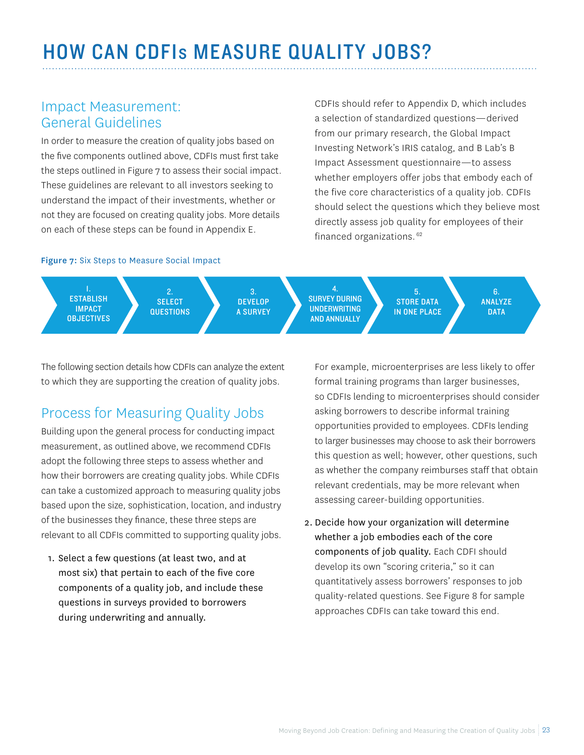## HOW CAN CDFIs MEASURE QUALITY JOBS?

### Impact Measurement: General Guidelines

In order to measure the creation of quality jobs based on the five components outlined above, CDFIs must first take the steps outlined in Figure 7 to assess their social impact. These guidelines are relevant to all investors seeking to understand the impact of their investments, whether or not they are focused on creating quality jobs. More details on each of these steps can be found in Appendix E.

CDFIs should refer to Appendix D, which includes a selection of standardized questions—derived from our primary research, the Global Impact Investing Network's IRIS catalog, and B Lab's B Impact Assessment questionnaire—to assess whether employers offer jobs that embody each of the five core characteristics of a quality job. CDFIs should select the questions which they believe most directly assess job quality for employees of their financed organizations. 62

#### Figure 7: Six Steps to Measure Social Impact



The following section details how CDFIs can analyze the extent to which they are supporting the creation of quality jobs.

### Process for Measuring Quality Jobs

Building upon the general process for conducting impact measurement, as outlined above, we recommend CDFIs adopt the following three steps to assess whether and how their borrowers are creating quality jobs. While CDFIs can take a customized approach to measuring quality jobs based upon the size, sophistication, location, and industry of the businesses they finance, these three steps are relevant to all CDFIs committed to supporting quality jobs.

1. Select a few questions (at least two, and at most six) that pertain to each of the five core components of a quality job, and include these questions in surveys provided to borrowers during underwriting and annually.

For example, microenterprises are less likely to offer formal training programs than larger businesses, so CDFIs lending to microenterprises should consider asking borrowers to describe informal training opportunities provided to employees. CDFIs lending to larger businesses may choose to ask their borrowers this question as well; however, other questions, such as whether the company reimburses staff that obtain relevant credentials, may be more relevant when assessing career-building opportunities.

2. Decide how your organization will determine whether a job embodies each of the core components of job quality. Each CDFI should develop its own "scoring criteria," so it can quantitatively assess borrowers' responses to job quality-related questions. See Figure 8 for sample approaches CDFIs can take toward this end.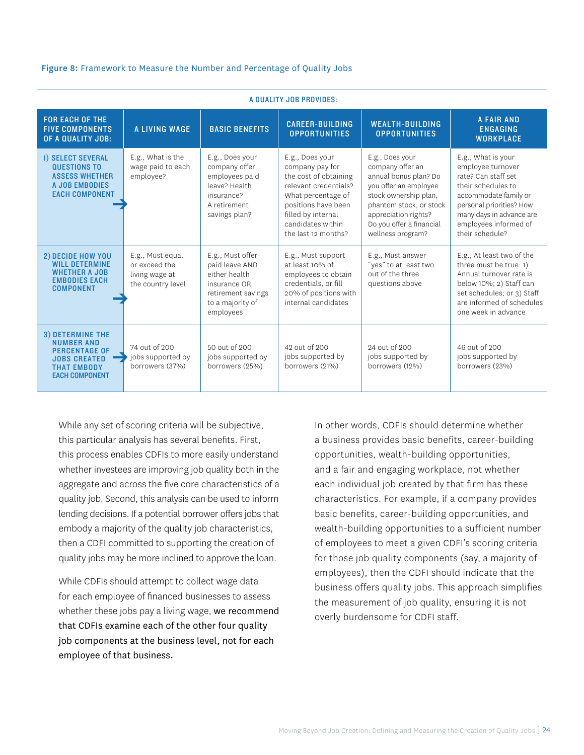#### Figure 8: Framework to Measure the Number and Percentage of Quality Jobs

| A QUALITY JOB PROVIDES:                                                                                                                    |                                                                          |                                                                                                                            |                                                                                                                                                                                                     |                                                                                                                                                                                                                    |                                                                                                                                                                                                                   |
|--------------------------------------------------------------------------------------------------------------------------------------------|--------------------------------------------------------------------------|----------------------------------------------------------------------------------------------------------------------------|-----------------------------------------------------------------------------------------------------------------------------------------------------------------------------------------------------|--------------------------------------------------------------------------------------------------------------------------------------------------------------------------------------------------------------------|-------------------------------------------------------------------------------------------------------------------------------------------------------------------------------------------------------------------|
| <b>FOR EACH OF THE</b><br><b>FIVE COMPONENTS</b><br>OF A QUALITY JOB:                                                                      | A LIVING WAGE                                                            | <b>BASIC BENEFITS</b>                                                                                                      | <b>CAREER-BUILDING</b><br><b>OPPORTUNITIES</b>                                                                                                                                                      | <b>WEALTH-BUILDING</b><br><b>OPPORTUNITIES</b>                                                                                                                                                                     | <b>A FAIR AND</b><br><b>ENGAGING</b><br><b>WORKPLACE</b>                                                                                                                                                          |
| <b>I) SELECT SEVERAL</b><br><b>QUESTIONS TO</b><br><b>ASSESS WHETHER</b><br>A JOB EMBODIES<br><b>EACH COMPONENT</b>                        | E.g., What is the<br>wage paid to each<br>employee?                      | E.g., Does your<br>company offer<br>employees paid<br>leave? Health<br>insurance?<br>A retirement<br>savings plan?         | E.g., Does your<br>company pay for<br>the cost of obtaining<br>relevant credentials?<br>What percentage of<br>positions have been<br>filled by internal<br>candidates within<br>the last 12 months? | E.g., Does your<br>company offer an<br>annual bonus plan? Do<br>you offer an employee<br>stock ownership plan,<br>phantom stock, or stock<br>appreciation rights?<br>Do you offer a financial<br>wellness program? | E.g., What is your<br>employee turnover<br>rate? Can staff set<br>their schedules to<br>accommodate family or<br>personal priorities? How<br>many days in advance are<br>employees informed of<br>their schedule? |
| 2) DECIDE HOW YOU<br><b>WILL DETERMINE</b><br><b>WHETHER A JOB</b><br><b>EMBODIES EACH</b><br><b>COMPONENT</b>                             | E.g., Must equal<br>or exceed the<br>living wage at<br>the country level | E.g., Must offer<br>paid leave AND<br>either health<br>insurance OR<br>retirement savings<br>to a majority of<br>employees | E.g., Must support<br>at least 10% of<br>employees to obtain<br>credentials, or fill<br>20% of positions with<br>internal candidates                                                                | E.g., Must answer<br>"yes" to at least two<br>out of the three<br>questions above                                                                                                                                  | E.g., At least two of the<br>three must be true: 1)<br>Annual turnover rate is<br>below 10%; 2) Staff can<br>set schedules; or 3) Staff<br>are informed of schedules<br>one week in advance                       |
| <b>3) DETERMINE THE</b><br><b>NUMBER AND</b><br><b>PERCENTAGE OF</b><br><b>JOBS CREATED</b><br><b>THAT EMBODY</b><br><b>EACH COMPONENT</b> | 74 out of 200<br>jobs supported by<br>borrowers (37%)                    | 50 out of 200<br>jobs supported by<br>borrowers (25%)                                                                      | 49 out of 200<br>jobs supported by<br>borrowers (21%)                                                                                                                                               | 24 out of 200<br>jobs supported by<br>borrowers (12%)                                                                                                                                                              | 46 out of 200<br>jobs supported by<br>borrowers (23%)                                                                                                                                                             |

While any set of scoring criteria will be subjective, this particular analysis has several benefits. First, this process enables CDFIs to more easily understand whether investees are improving job quality both in the aggregate and across the five core characteristics of a quality job. Second, this analysis can be used to inform lending decisions. If a potential borrower offers jobs that embody a majority of the quality job characteristics, then a CDFI committed to supporting the creation of quality jobs may be more inclined to approve the loan.

While CDFIs should attempt to collect wage data for each employee of financed businesses to assess whether these jobs pay a living wage, we recommend that CDFIs examine each of the other four quality job components at the business level, not for each employee of that business.

In other words, CDFIs should determine whether a business provides basic benefits, career-building opportunities, wealth-building opportunities, and a fair and engaging workplace, not whether each individual job created by that firm has these characteristics. For example, if a company provides basic benefits, career-building opportunities, and wealth-building opportunities to a sufficient number of employees to meet a given CDFI's scoring criteria for those job quality components (say, a majority of employees), then the CDFI should indicate that the business offers quality jobs. This approach simplifies the measurement of job quality, ensuring it is not overly burdensome for CDFI staff.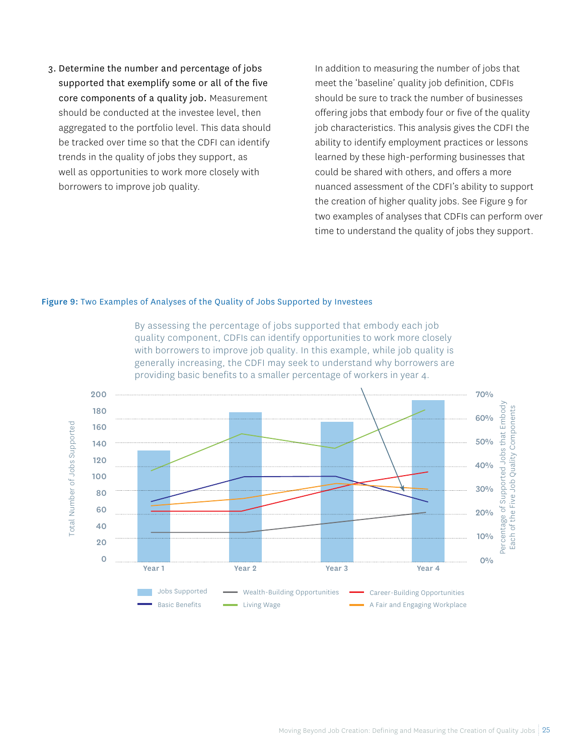3. Determine the number and percentage of jobs supported that exemplify some or all of the five core components of a quality job. Measurement should be conducted at the investee level, then aggregated to the portfolio level. This data should be tracked over time so that the CDFI can identify trends in the quality of jobs they support, as well as opportunities to work more closely with borrowers to improve job quality.

In addition to measuring the number of jobs that meet the 'baseline' quality job definition, CDFIs should be sure to track the number of businesses offering jobs that embody four or five of the quality job characteristics. This analysis gives the CDFI the ability to identify employment practices or lessons learned by these high-performing businesses that could be shared with others, and offers a more nuanced assessment of the CDFI's ability to support the creation of higher quality jobs. See Figure 9 for two examples of analyses that CDFIs can perform over time to understand the quality of jobs they support.

#### Figure 9: Two Examples of Analyses of the Quality of Jobs Supported by Investees



By assessing the percentage of jobs supported that embody each job quality component, CDFIs can identify opportunities to work more closely with borrowers to improve job quality. In this example, while job quality is generally increasing, the CDFI may seek to understand why borrowers are providing basic benefits to a smaller percentage of workers in year 4.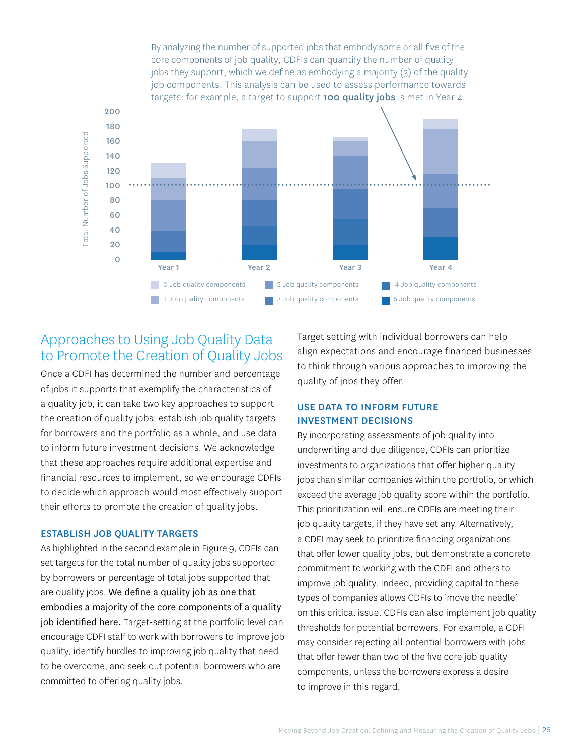

By analyzing the number of supported jobs that embody some or all five of the core components of job quality, CDFIs can quantify the number of quality jobs they support, which we define as embodying a majority (3) of the quality job components. This analysis can be used to assess performance towards

### Approaches to Using Job Quality Data to Promote the Creation of Quality Jobs

Once a CDFI has determined the number and percentage of jobs it supports that exemplify the characteristics of a quality job, it can take two key approaches to support the creation of quality jobs: establish job quality targets for borrowers and the portfolio as a whole, and use data to inform future investment decisions. We acknowledge that these approaches require additional expertise and financial resources to implement, so we encourage CDFIs to decide which approach would most effectively support their efforts to promote the creation of quality jobs.

#### ESTABLISH JOB QUALITY TARGETS

As highlighted in the second example in Figure 9, CDFIs can set targets for the total number of quality jobs supported by borrowers or percentage of total jobs supported that are quality jobs. We define a quality job as one that embodies a majority of the core components of a quality job identified here. Target-setting at the portfolio level can encourage CDFI staff to work with borrowers to improve job quality, identify hurdles to improving job quality that need to be overcome, and seek out potential borrowers who are committed to offering quality jobs.

Target setting with individual borrowers can help align expectations and encourage financed businesses to think through various approaches to improving the quality of jobs they offer.

#### USE DATA TO INFORM FUTURE INVESTMENT DECISIONS

By incorporating assessments of job quality into underwriting and due diligence, CDFIs can prioritize investments to organizations that offer higher quality jobs than similar companies within the portfolio, or which exceed the average job quality score within the portfolio. This prioritization will ensure CDFIs are meeting their job quality targets, if they have set any. Alternatively, a CDFI may seek to prioritize financing organizations that offer lower quality jobs, but demonstrate a concrete commitment to working with the CDFI and others to improve job quality. Indeed, providing capital to these types of companies allows CDFIs to 'move the needle' on this critical issue. CDFIs can also implement job quality thresholds for potential borrowers. For example, a CDFI may consider rejecting all potential borrowers with jobs that offer fewer than two of the five core job quality components, unless the borrowers express a desire to improve in this regard.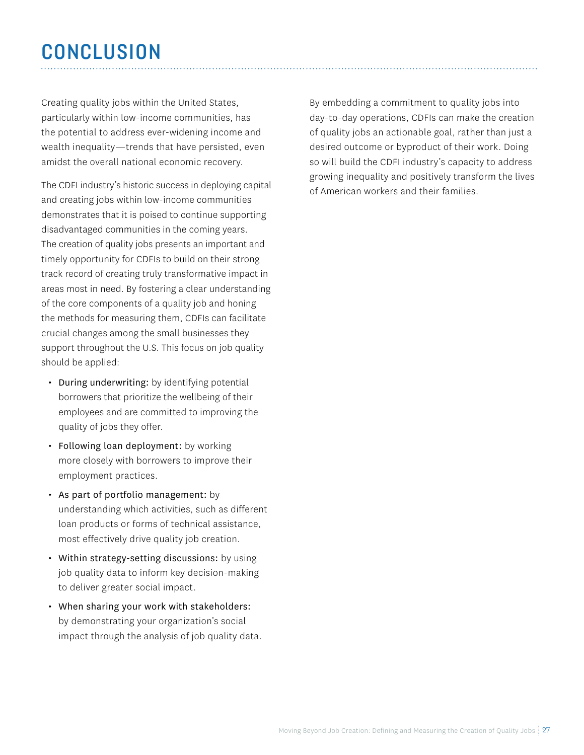## **CONCLUSION**

Creating quality jobs within the United States, particularly within low-income communities, has the potential to address ever-widening income and wealth inequality—trends that have persisted, even amidst the overall national economic recovery.

The CDFI industry's historic success in deploying capital and creating jobs within low-income communities demonstrates that it is poised to continue supporting disadvantaged communities in the coming years. The creation of quality jobs presents an important and timely opportunity for CDFIs to build on their strong track record of creating truly transformative impact in areas most in need. By fostering a clear understanding of the core components of a quality job and honing the methods for measuring them, CDFIs can facilitate crucial changes among the small businesses they support throughout the U.S. This focus on job quality should be applied:

- During underwriting: by identifying potential borrowers that prioritize the wellbeing of their employees and are committed to improving the quality of jobs they offer.
- Following loan deployment: by working more closely with borrowers to improve their employment practices.
- $\cdot$  As part of portfolio management: by understanding which activities, such as different loan products or forms of technical assistance, most effectively drive quality job creation.
- Within strategy-setting discussions: by using job quality data to inform key decision-making to deliver greater social impact.
- When sharing your work with stakeholders: by demonstrating your organization's social impact through the analysis of job quality data.

By embedding a commitment to quality jobs into day-to-day operations, CDFIs can make the creation of quality jobs an actionable goal, rather than just a desired outcome or byproduct of their work. Doing so will build the CDFI industry's capacity to address growing inequality and positively transform the lives of American workers and their families.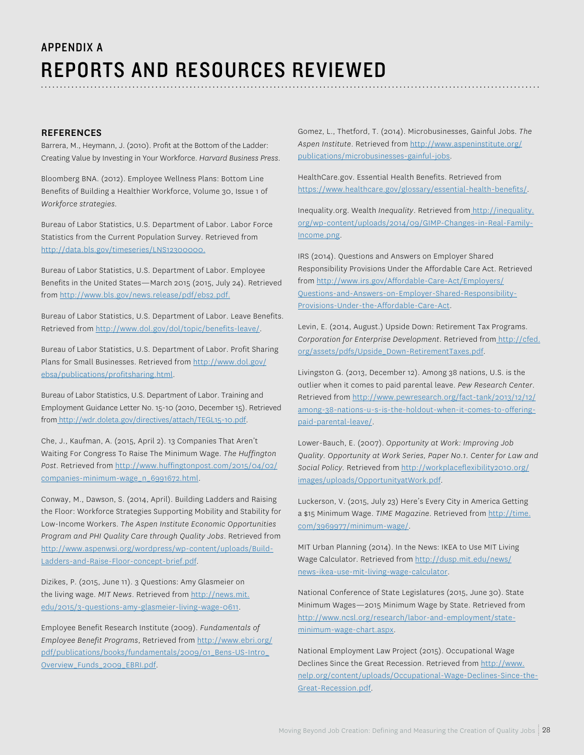## APPENDIX A REPORTS AND RESOURCES REVIEWED

#### **REFERENCES**

Barrera, M., Heymann, J. (2010). Profit at the Bottom of the Ladder: Creating Value by Investing in Your Workforce. *Harvard Business Press*.

Bloomberg BNA. (2012). Employee Wellness Plans: Bottom Line Benefits of Building a Healthier Workforce, Volume 30, Issue 1 of *Workforce strategies.*

Bureau of Labor Statistics, U.S. Department of Labor. Labor Force Statistics from the Current Population Survey. Retrieved from <http://data.bls.gov/timeseries/LNS12300000>.

Bureau of Labor Statistics, U.S. Department of Labor. Employee Benefits in the United States—March 2015 (2015, July 24). Retrieved from <http://www.bls.gov/news.release/pdf/ebs2.pdf>.

Bureau of Labor Statistics, U.S. Department of Labor. Leave Benefits. Retrieved from <http://www.dol.gov/dol/topic/benefits-leave/>.

Bureau of Labor Statistics, U.S. Department of Labor. Profit Sharing Plans for Small Businesses. Retrieved from [http://www.dol.gov/](http://www.dol.gov/ebsa/publications/profitsharing.html) [ebsa/publications/profitsharing.html](http://www.dol.gov/ebsa/publications/profitsharing.html).

Bureau of Labor Statistics, U.S. Department of Labor. Training and Employment Guidance Letter No. 15-10 (2010, December 15). Retrieved from [http://wdr.doleta.gov/directives/attach/TEGL15-10.pdf.](http://wdr.doleta.gov/directives/attach/TEGL15-10.pdf)

Che, J., Kaufman, A. (2015, April 2). 13 Companies That Aren't Waiting For Congress To Raise The Minimum Wage. *The Huffington Post*. Retrieved from [http://www.huffingtonpost.com/2015/04/02/](http://www.huffingtonpost.com/2015/04/02/companies-minimum-wage_n_6991672.html) [companies-minimum-wage\\_n\\_6991672.html](http://www.huffingtonpost.com/2015/04/02/companies-minimum-wage_n_6991672.html).

Conway, M., Dawson, S. (2014, April). Building Ladders and Raising the Floor: Workforce Strategies Supporting Mobility and Stability for Low-Income Workers. *The Aspen Institute Economic Opportunities Program and PHI Quality Care through Quality Jobs*. Retrieved from [http://www.aspenwsi.org/wordpress/wp-content/uploads/Build-](http://www.aspenwsi.org/wordpress/wp-content/uploads/Build-Ladders-and-Raise-Floor-concept-brief.pdf)[Ladders-and-Raise-Floor-concept-brief.pdf](http://www.aspenwsi.org/wordpress/wp-content/uploads/Build-Ladders-and-Raise-Floor-concept-brief.pdf).

Dizikes, P. (2015, June 11). 3 Questions: Amy Glasmeier on the living wage. *MIT News*. Retrieved from [http://news.mit.](http://news.mit.edu/2015/3-questions-amy-glasmeier-living-wage-0611) [edu/2015/3-questions-amy-glasmeier-living-wage-0611](http://news.mit.edu/2015/3-questions-amy-glasmeier-living-wage-0611).

Employee Benefit Research Institute (2009). *Fundamentals of Employee Benefit Programs*, Retrieved from [http://www.ebri.org/](http://www.ebri.org/pdf/publications/books/fundamentals/2009/01_Bens-US-Intro_Overview_Funds_2009_EBRI.pdf) [pdf/publications/books/fundamentals/2009/01\\_Bens-US-Intro\\_](http://www.ebri.org/pdf/publications/books/fundamentals/2009/01_Bens-US-Intro_Overview_Funds_2009_EBRI.pdf) [Overview\\_Funds\\_2009\\_EBRI.pdf.](http://www.ebri.org/pdf/publications/books/fundamentals/2009/01_Bens-US-Intro_Overview_Funds_2009_EBRI.pdf)

Gomez, L., Thetford, T. (2014). Microbusinesses, Gainful Jobs. *The Aspen Institute*. Retrieved from [http://www.aspeninstitute.org/](http://www.aspeninstitute.org/publications/microbusinesses-gainful-jobs) [publications/microbusinesses-gainful-jobs.](http://www.aspeninstitute.org/publications/microbusinesses-gainful-jobs)

HealthCare.gov. Essential Health Benefits. Retrieved from [https://www.healthcare.gov/glossary/essential-health-benefits/.](https://www.healthcare.gov/glossary/essential-health-benefits/)

Inequality.org. Wealth *Inequality*. Retrieved from [http://inequality.](http://inequality.org/wp-content/uploads/2014/09/GIMP-Changes-in-Real-Family-Income.png) [org/wp-content/uploads/2014/09/GIMP-Changes-in-Real-Family-](http://inequality.org/wp-content/uploads/2014/09/GIMP-Changes-in-Real-Family-Income.png)[Income.png](http://inequality.org/wp-content/uploads/2014/09/GIMP-Changes-in-Real-Family-Income.png).

IRS (2014). Questions and Answers on Employer Shared Responsibility Provisions Under the Affordable Care Act. Retrieved from [http://www.irs.gov/Affordable-Care-Act/Employers/](http://www.irs.gov/Affordable-Care-Act/Employers/Questions-and-Answers-on-Employer-Shared-Responsibility-Provisions-Under-the-Affordable-Care-Act) [Questions-and-Answers-on-Employer-Shared-Responsibility-](http://www.irs.gov/Affordable-Care-Act/Employers/Questions-and-Answers-on-Employer-Shared-Responsibility-Provisions-Under-the-Affordable-Care-Act)[Provisions-Under-the-Affordable-Care-Act.](http://www.irs.gov/Affordable-Care-Act/Employers/Questions-and-Answers-on-Employer-Shared-Responsibility-Provisions-Under-the-Affordable-Care-Act) 

Levin, E. (2014, August.) Upside Down: Retirement Tax Programs. *Corporation for Enterprise Development*. Retrieved from [http://cfed.](http://cfed.org/assets/pdfs/Upside_Down-RetirementTaxes.pdf) [org/assets/pdfs/Upside\\_Down-RetirementTaxes.pdf.](http://cfed.org/assets/pdfs/Upside_Down-RetirementTaxes.pdf)

Livingston G. (2013, December 12). Among 38 nations, U.S. is the outlier when it comes to paid parental leave. *Pew Research Center*. Retrieved from [http://www.pewresearch.org/fact-tank/2013/12/12/](http://www.pewresearch.org/fact-tank/2013/12/12/among-38-nations-u-s-is-the-holdout-when-it-comes-to-offering-paid-parental-leave/) [among-38-nations-u-s-is-the-holdout-when-it-comes-to-offering](http://www.pewresearch.org/fact-tank/2013/12/12/among-38-nations-u-s-is-the-holdout-when-it-comes-to-offering-paid-parental-leave/)[paid-parental-leave/](http://www.pewresearch.org/fact-tank/2013/12/12/among-38-nations-u-s-is-the-holdout-when-it-comes-to-offering-paid-parental-leave/).

Lower-Bauch, E. (2007). *Opportunity at Work: Improving Job Quality. Opportunity at Work Series, Paper No.1. Center for Law and Social Policy.* Retrieved from [http://workplaceflexibility2010.org/](http://workplaceflexibility2010.org/images/uploads/OpportunityatWork.pdf) [images/uploads/OpportunityatWork.pdf](http://workplaceflexibility2010.org/images/uploads/OpportunityatWork.pdf).

Luckerson, V. (2015, July 23) Here's Every City in America Getting a \$15 Minimum Wage. *TIME Magazine*. Retrieved from [http://time.](http://time.com/3969977/minimum-wage/) [com/3969977/minimum-wage/.](http://time.com/3969977/minimum-wage/)

MIT Urban Planning (2014). In the News: IKEA to Use MIT Living Wage Calculator. Retrieved from [http://dusp.mit.edu/news/](http://dusp.mit.edu/news/news-ikea-use-mit-living-wage-calculator) [news-ikea-use-mit-living-wage-calculator](http://dusp.mit.edu/news/news-ikea-use-mit-living-wage-calculator).

National Conference of State Legislatures (2015, June 30). State Minimum Wages—2015 Minimum Wage by State. Retrieved from [http://www.ncsl.org/research/labor-and-employment/state](http://www.ncsl.org/research/labor-and-employment/state-minimum-wage-chart.aspx)[minimum-wage-chart.aspx.](http://www.ncsl.org/research/labor-and-employment/state-minimum-wage-chart.aspx)

National Employment Law Project (2015). Occupational Wage Declines Since the Great Recession. Retrieved from [http://www.](http://www.nelp.org/content/uploads/Occupational-Wage-Declines-Since-the-Great-Recession.pdf) [nelp.org/content/uploads/Occupational-Wage-Declines-Since-the-](http://www.nelp.org/content/uploads/Occupational-Wage-Declines-Since-the-Great-Recession.pdf)[Great-Recession.pdf.](http://www.nelp.org/content/uploads/Occupational-Wage-Declines-Since-the-Great-Recession.pdf)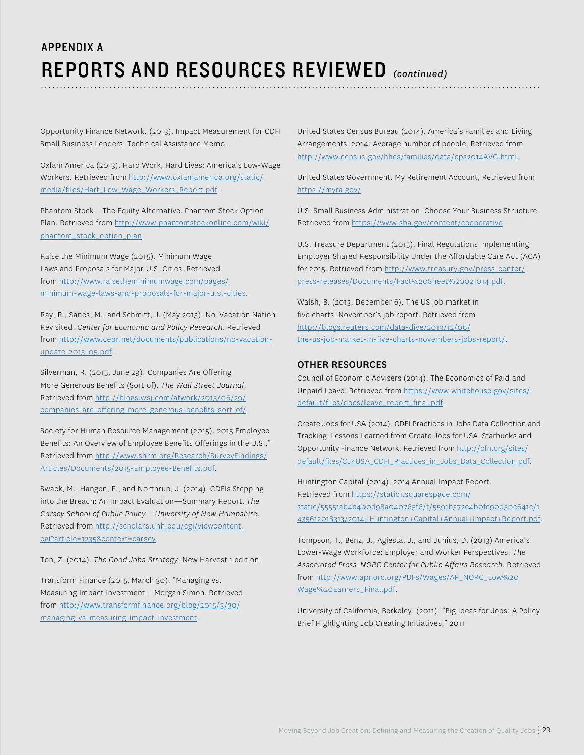## APPENDIX A REPORTS AND RESOURCES REVIEWED *(continued)*

Opportunity Finance Network. (2013). Impact Measurement for CDFI Small Business Lenders. Technical Assistance Memo.

Oxfam America (2013). Hard Work, Hard Lives: America's Low-Wage Workers. Retrieved from [http://www.oxfamamerica.org/static/](http://www.oxfamamerica.org/static/media/files/Hart_Low_Wage_Workers_Report.pdf) [media/files/Hart\\_Low\\_Wage\\_Workers\\_Report.pdf](http://www.oxfamamerica.org/static/media/files/Hart_Low_Wage_Workers_Report.pdf).

Phantom Stock—The Equity Alternative. Phantom Stock Option Plan. Retrieved from [http://www.phantomstockonline.com/wiki/](http://www.phantomstockonline.com/wiki/phantom_stock_option_plan) [phantom\\_stock\\_option\\_plan](http://www.phantomstockonline.com/wiki/phantom_stock_option_plan).

Raise the Minimum Wage (2015). Minimum Wage Laws and Proposals for Major U.S. Cities. Retrieved from [http://www.raisetheminimumwage.com/pages/](http://www.raisetheminimumwage.com/pages/minimum-wage-laws-and-proposals-for-major-u.s.-cities) [minimum-wage-laws-and-proposals-for-major-u.s.-cities.](http://www.raisetheminimumwage.com/pages/minimum-wage-laws-and-proposals-for-major-u.s.-cities)

Ray, R., Sanes, M., and Schmitt, J. (May 2013). No-Vacation Nation Revisited. *Center for Economic and Policy Research*. Retrieved from [http://www.cepr.net/documents/publications/no-vacation](http://www.cepr.net/documents/publications/no-vacation-update-2013-05.pdf)[update-2013-05.pdf](http://www.cepr.net/documents/publications/no-vacation-update-2013-05.pdf).

Silverman, R. (2015, June 29). Companies Are Offering More Generous Benefits (Sort of). *The Wall Street Journal*. Retrieved from [http://blogs.wsj.com/atwork/2015/06/29/](http://blogs.wsj.com/atwork/2015/06/29/companies-are-offering-more-generous-benefits-sort-of/) [companies-are-offering-more-generous-benefits-sort-of/](http://blogs.wsj.com/atwork/2015/06/29/companies-are-offering-more-generous-benefits-sort-of/).

Society for Human Resource Management (2015). 2015 Employee Benefits: An Overview of Employee Benefits Offerings in the U.S.," Retrieved from [http://www.shrm.org/Research/SurveyFindings/](http://www.shrm.org/Research/SurveyFindings/Articles/Documents/2015-Employee-Benefits.pdf) [Articles/Documents/2015-Employee-Benefits.pdf](http://www.shrm.org/Research/SurveyFindings/Articles/Documents/2015-Employee-Benefits.pdf).

Swack, M., Hangen, E., and Northrup, J. (2014). CDFIs Stepping into the Breach: An Impact Evaluation—Summary Report. *The Carsey School of Public Policy—University of New Hampshire*. Retrieved from [http://scholars.unh.edu/cgi/viewcontent.](http://scholars.unh.edu/cgi/viewcontent.cgi?article=1235&context=carsey) [cgi?article=1235&context=carsey](http://scholars.unh.edu/cgi/viewcontent.cgi?article=1235&context=carsey).

Ton, Z. (2014). *The Good Jobs Strategy*, New Harvest 1 edition.

Transform Finance (2015, March 30). "Managing vs. Measuring Impact Investment – Morgan Simon. Retrieved from [http://www.transformfinance.org/blog/2015/3/30/](http://www.transformfinance.org/blog/2015/3/30/managing-vs-measuring-impact-investment) [managing-vs-measuring-impact-investment.](http://www.transformfinance.org/blog/2015/3/30/managing-vs-measuring-impact-investment)

United States Census Bureau (2014). America's Families and Living Arrangements: 2014: Average number of people. Retrieved from <http://www.census.gov/hhes/families/data/cps2014AVG.html>.

United States Government. My Retirement Account, Retrieved from <https://myra.gov/>

U.S. Small Business Administration. Choose Your Business Structure. Retrieved from [https://www.sba.gov/content/cooperative.](https://www.sba.gov/content/cooperative)

U.S. Treasure Department (2015). Final Regulations Implementing Employer Shared Responsibility Under the Affordable Care Act (ACA) for 2015. Retrieved from [http://www.treasury.gov/press-center/](http://www.treasury.gov/press-center/press-releases/Documents/Fact%20Sheet%20021014.pdf) [press-releases/Documents/Fact%20Sheet%20021014.pdf.](http://www.treasury.gov/press-center/press-releases/Documents/Fact%20Sheet%20021014.pdf)

Walsh, B. (2013, December 6). The US job market in five charts: November's job report. Retrieved from [http://blogs.reuters.com/data-dive/2013/12/06/](http://blogs.reuters.com/data-dive/2013/12/06/the-us-job-market-in-five-charts-novembers-jobs-report/) [the-us-job-market-in-five-charts-novembers-jobs-report/](http://blogs.reuters.com/data-dive/2013/12/06/the-us-job-market-in-five-charts-novembers-jobs-report/).

#### OTHER RESOURCES

Council of Economic Advisers (2014). The Economics of Paid and Unpaid Leave. Retrieved from [https://www.whitehouse.gov/sites/](https://www.whitehouse.gov/sites/default/files/docs/leave_report_final.pdf) [default/files/docs/leave\\_report\\_final.pdf](https://www.whitehouse.gov/sites/default/files/docs/leave_report_final.pdf).

Create Jobs for USA (2014). CDFI Practices in Jobs Data Collection and Tracking: Lessons Learned from Create Jobs for USA. Starbucks and Opportunity Finance Network. Retrieved from [http://ofn.org/sites/](http://ofn.org/sites/default/files/CJ4USA_CDFI_Practices_in_Jobs_Data_Collection.pdf) [default/files/CJ4USA\\_CDFI\\_Practices\\_in\\_Jobs\\_Data\\_Collection.pdf](http://ofn.org/sites/default/files/CJ4USA_CDFI_Practices_in_Jobs_Data_Collection.pdf).

Huntington Capital (2014). 2014 Annual Impact Report. Retrieved from [https://static1.squarespace.com/](https://static1.squarespace.com/static/55551ab4e4b0d98a040765f6/t/5591b372e4b0fc90d5bc641c/1435612018313/2014+Huntington+Capital+Annual+Impact+Report.pdf) [static/55551ab4e4b0d98a040765f6/t/5591b372e4b0fc90d5bc641c/1](https://static1.squarespace.com/static/55551ab4e4b0d98a040765f6/t/5591b372e4b0fc90d5bc641c/1435612018313/2014+Huntington+Capital+Annual+Impact+Report.pdf) [435612018313/2014+Huntington+Capital+Annual+Impact+Report.pdf.](https://static1.squarespace.com/static/55551ab4e4b0d98a040765f6/t/5591b372e4b0fc90d5bc641c/1435612018313/2014+Huntington+Capital+Annual+Impact+Report.pdf)

Tompson, T., Benz, J., Agiesta, J., and Junius, D. (2013) America's Lower-Wage Workforce: Employer and Worker Perspectives. *The Associated Press-NORC Center for Public Affairs Research*. Retrieved from [http://www.apnorc.org/PDFs/Wages/AP\\_NORC\\_Low%20](http://www.apnorc.org/PDFs/Wages/AP_NORC_Low%20Wage%20Earners_Final.pdf) [Wage%20Earners\\_Final.pdf.](http://www.apnorc.org/PDFs/Wages/AP_NORC_Low%20Wage%20Earners_Final.pdf)

University of California, Berkeley, (2011). "Big Ideas for Jobs: A Policy Brief Highlighting Job Creating Initiatives," 2011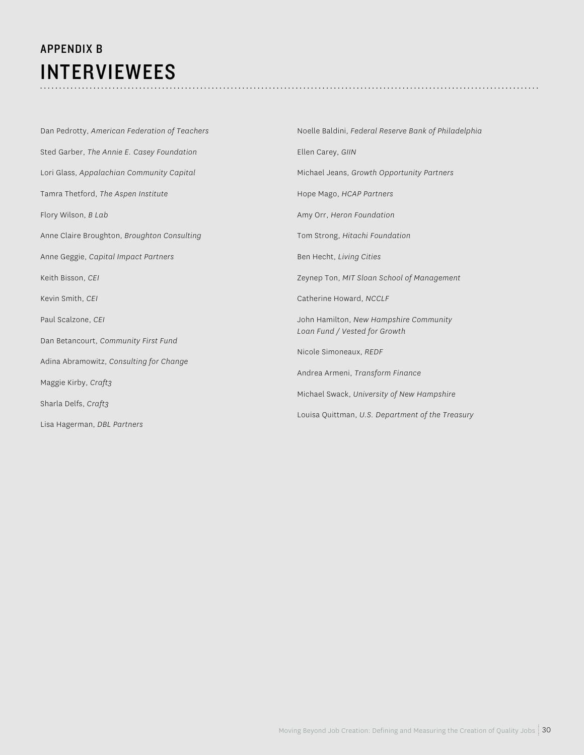## APPENDIX B INTERVIEWEES

Dan Pedrotty, *American Federation of Teachers* Sted Garber, *The Annie E. Casey Foundation* Lori Glass, *Appalachian Community Capital* Tamra Thetford, *The Aspen Institute* Flory Wilson, *B Lab* Anne Claire Broughton, *Broughton Consulting* Anne Geggie, *Capital Impact Partners* Keith Bisson, *CEI* Kevin Smith, *CEI* Paul Scalzone, *CEI* Dan Betancourt, *Community First Fund* Adina Abramowitz, *Consulting for Change* Maggie Kirby, *Craft3* Sharla Delfs, *Craft3* Lisa Hagerman, *DBL Partners*

Noelle Baldini, *Federal Reserve Bank of Philadelphia* Ellen Carey, *GIIN* Michael Jeans, *Growth Opportunity Partners* Hope Mago, *HCAP Partners* Amy Orr, *Heron Foundation* Tom Strong, *Hitachi Foundation* Ben Hecht, *Living Cities* Zeynep Ton, *MIT Sloan School of Management* Catherine Howard, *NCCLF* John Hamilton, *New Hampshire Community Loan Fund / Vested for Growth* Nicole Simoneaux, *REDF* Andrea Armeni, *Transform Finance* Michael Swack, *University of New Hampshire* Louisa Quittman, *U.S. Department of the Treasury*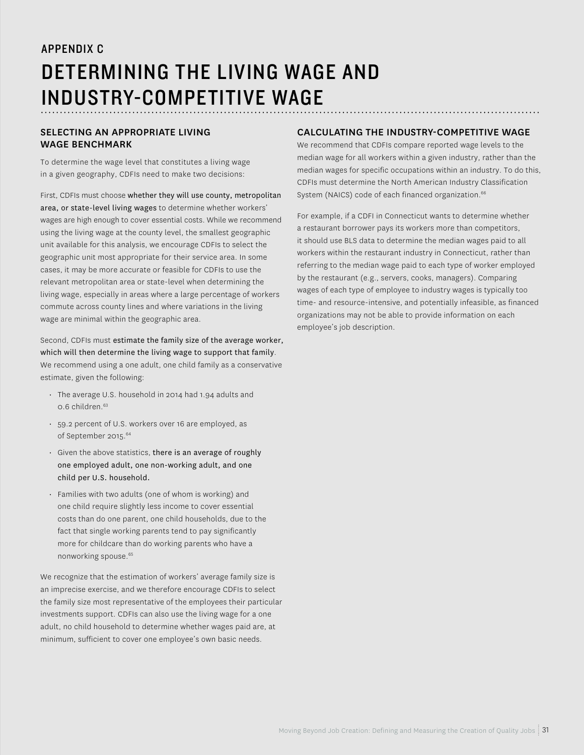## APPENDIX C DETERMINING THE LIVING WAGE AND INDUSTRY-COMPETITIVE WAGE

#### SELECTING AN APPROPRIATE LIVING WAGE BENCHMARK

To determine the wage level that constitutes a living wage in a given geography, CDFIs need to make two decisions:

First, CDFIs must choose whether they will use county, metropolitan area, or state-level living wages to determine whether workers' wages are high enough to cover essential costs. While we recommend using the living wage at the county level, the smallest geographic unit available for this analysis, we encourage CDFIs to select the geographic unit most appropriate for their service area. In some cases, it may be more accurate or feasible for CDFIs to use the relevant metropolitan area or state-level when determining the living wage, especially in areas where a large percentage of workers commute across county lines and where variations in the living wage are minimal within the geographic area.

Second, CDFIs must estimate the family size of the average worker, which will then determine the living wage to support that family. We recommend using a one adult, one child family as a conservative estimate, given the following:

- The average U.S. household in 2014 had 1.94 adults and 0.6 children.63
- 59.2 percent of U.S. workers over 16 are employed, as of September 2015.<sup>64</sup>
- Given the above statistics, there is an average of roughly one employed adult, one non-working adult, and one child per U.S. household.
- Families with two adults (one of whom is working) and one child require slightly less income to cover essential costs than do one parent, one child households, due to the fact that single working parents tend to pay significantly more for childcare than do working parents who have a nonworking spouse.<sup>65</sup>

We recognize that the estimation of workers' average family size is an imprecise exercise, and we therefore encourage CDFIs to select the family size most representative of the employees their particular investments support. CDFIs can also use the living wage for a one adult, no child household to determine whether wages paid are, at minimum, sufficient to cover one employee's own basic needs.

#### CALCULATING THE INDUSTRY-COMPETITIVE WAGE

We recommend that CDFIs compare reported wage levels to the median wage for all workers within a given industry, rather than the median wages for specific occupations within an industry. To do this, CDFIs must determine the North American Industry Classification System (NAICS) code of each financed organization.<sup>66</sup>

For example, if a CDFI in Connecticut wants to determine whether a restaurant borrower pays its workers more than competitors, it should use BLS data to determine the median wages paid to all workers within the restaurant industry in Connecticut, rather than referring to the median wage paid to each type of worker employed by the restaurant (e.g., servers, cooks, managers). Comparing wages of each type of employee to industry wages is typically too time- and resource-intensive, and potentially infeasible, as financed organizations may not be able to provide information on each employee's job description.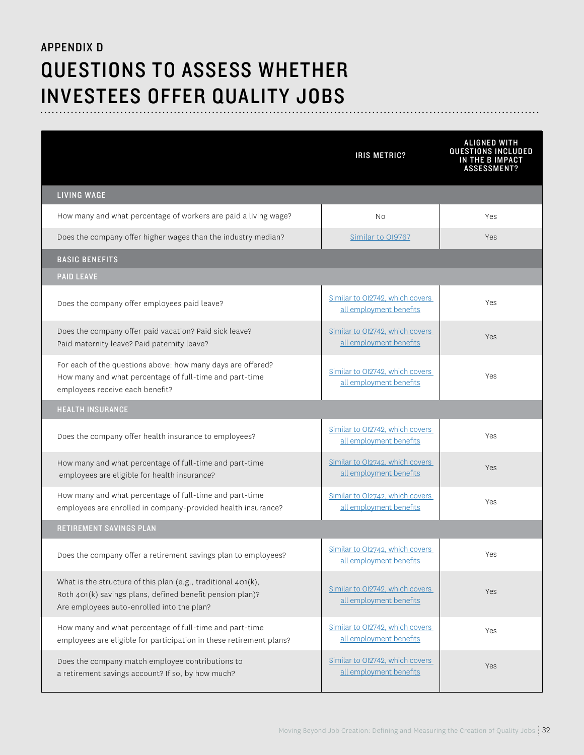## APPENDIX D QUESTIONS TO ASSESS WHETHER INVESTEES OFFER QUALITY JOBS

|                                                                                                                                                                          | <b>IRIS METRIC?</b>                                        | <b>ALIGNED WITH</b><br><b>QUESTIONS INCLUDED</b><br>IN THE B IMPACT<br><b>ASSESSMENT?</b> |
|--------------------------------------------------------------------------------------------------------------------------------------------------------------------------|------------------------------------------------------------|-------------------------------------------------------------------------------------------|
| <b>LIVING WAGE</b>                                                                                                                                                       |                                                            |                                                                                           |
| How many and what percentage of workers are paid a living wage?                                                                                                          | <b>No</b>                                                  | Yes                                                                                       |
| Does the company offer higher wages than the industry median?                                                                                                            | Similar to OI9767                                          | Yes                                                                                       |
| <b>BASIC BENEFITS</b>                                                                                                                                                    |                                                            |                                                                                           |
| PAID LEAVE                                                                                                                                                               |                                                            |                                                                                           |
| Does the company offer employees paid leave?                                                                                                                             | Similar to OI2742, which covers<br>all employment benefits | Yes                                                                                       |
| Does the company offer paid vacation? Paid sick leave?<br>Paid maternity leave? Paid paternity leave?                                                                    | Similar to OI2742, which covers<br>all employment benefits | Yes                                                                                       |
| For each of the questions above: how many days are offered?<br>How many and what percentage of full-time and part-time<br>employees receive each benefit?                | Similar to OI2742, which covers<br>all employment benefits | Yes                                                                                       |
| <b>HEALTH INSURANCE</b>                                                                                                                                                  |                                                            |                                                                                           |
| Does the company offer health insurance to employees?                                                                                                                    | Similar to OI2742, which covers<br>all employment benefits | Yes                                                                                       |
| How many and what percentage of full-time and part-time<br>employees are eligible for health insurance?                                                                  | Similar to OI2742, which covers<br>all employment benefits | Yes                                                                                       |
| How many and what percentage of full-time and part-time<br>employees are enrolled in company-provided health insurance?                                                  | Similar to OI2742, which covers<br>all employment benefits | Yes                                                                                       |
| <b>RETIREMENT SAVINGS PLAN</b>                                                                                                                                           |                                                            |                                                                                           |
| Does the company offer a retirement savings plan to employees?                                                                                                           | Similar to OI2742, which covers<br>all employment benefits | Yes                                                                                       |
| What is the structure of this plan (e.g., traditional 401(k),<br>Roth 401(k) savings plans, defined benefit pension plan)?<br>Are employees auto-enrolled into the plan? | Similar to OI2742, which covers<br>all employment benefits | Yes                                                                                       |
| How many and what percentage of full-time and part-time<br>employees are eligible for participation in these retirement plans?                                           | Similar to OI2742, which covers<br>all employment benefits | Yes                                                                                       |
| Does the company match employee contributions to<br>a retirement savings account? If so, by how much?                                                                    | Similar to OI2742, which covers<br>all employment benefits | Yes                                                                                       |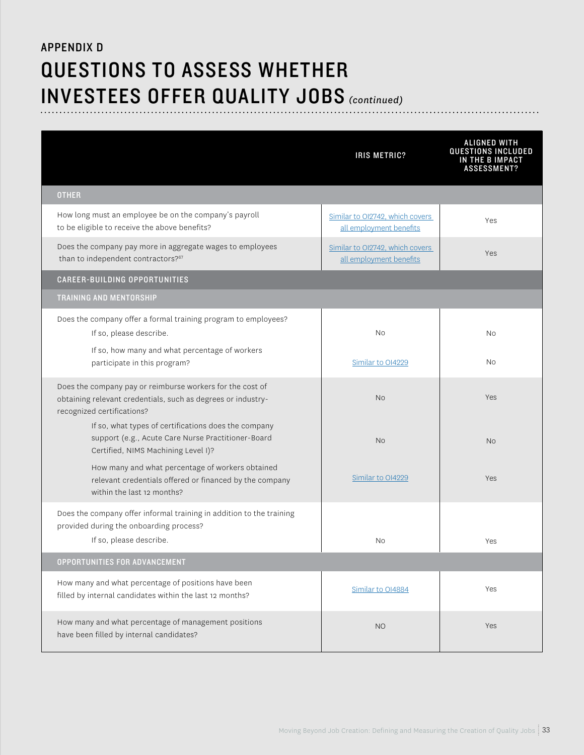## APPENDIX D QUESTIONS TO ASSESS WHETHER INVESTEES OFFER QUALITY JOBS *(continued)*

|                                                                                                                                                         | <b>IRIS METRIC?</b>                                        | ALIGNED WITH<br>QUESTIONS INCLUDED<br>IN THE B IMPACT<br><b>ASSESSMENT?</b> |
|---------------------------------------------------------------------------------------------------------------------------------------------------------|------------------------------------------------------------|-----------------------------------------------------------------------------|
| <b>OTHER</b>                                                                                                                                            |                                                            |                                                                             |
| How long must an employee be on the company's payroll<br>to be eligible to receive the above benefits?                                                  | Similar to OI2742, which covers<br>all employment benefits | Yes                                                                         |
| Does the company pay more in aggregate wages to employees<br>than to independent contractors? <sup>67</sup>                                             | Similar to OI2742, which covers<br>all employment benefits | Yes                                                                         |
| <b>CAREER-BUILDING OPPORTUNITIES</b>                                                                                                                    |                                                            |                                                                             |
| TRAINING AND MENTORSHIP                                                                                                                                 |                                                            |                                                                             |
| Does the company offer a formal training program to employees?<br>If so, please describe.                                                               | No                                                         | No                                                                          |
| If so, how many and what percentage of workers<br>participate in this program?                                                                          | Similar to OI4229                                          | <b>No</b>                                                                   |
| Does the company pay or reimburse workers for the cost of<br>obtaining relevant credentials, such as degrees or industry-<br>recognized certifications? | <b>No</b>                                                  | Yes                                                                         |
| If so, what types of certifications does the company<br>support (e.g., Acute Care Nurse Practitioner-Board<br>Certified, NIMS Machining Level I)?       | <b>No</b>                                                  | <b>No</b>                                                                   |
| How many and what percentage of workers obtained<br>relevant credentials offered or financed by the company<br>within the last 12 months?               | Similar to OI4229                                          | Yes                                                                         |
| Does the company offer informal training in addition to the training<br>provided during the onboarding process?                                         |                                                            |                                                                             |
| If so, please describe.                                                                                                                                 | No                                                         | Yes                                                                         |
| OPPORTUNITIES FOR ADVANCEMENT                                                                                                                           |                                                            |                                                                             |
| How many and what percentage of positions have been<br>filled by internal candidates within the last 12 months?                                         | Similar to OI4884                                          | Yes                                                                         |
| How many and what percentage of management positions<br>have been filled by internal candidates?                                                        | <b>NO</b>                                                  | Yes                                                                         |

. . . . . . . . .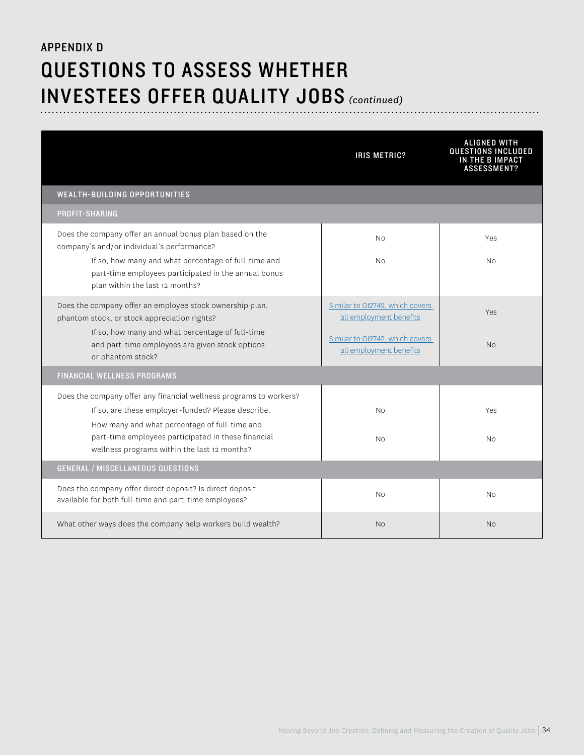## APPENDIX D QUESTIONS TO ASSESS WHETHER INVESTEES OFFER QUALITY JOBS *(continued)*

|                                                                                                                                                                           | <b>IRIS METRIC?</b>                                        | <b>ALIGNED WITH</b><br><b>QUESTIONS INCLUDED</b><br>IN THE B IMPACT<br><b>ASSESSMENT?</b> |
|---------------------------------------------------------------------------------------------------------------------------------------------------------------------------|------------------------------------------------------------|-------------------------------------------------------------------------------------------|
| <b>WEALTH-BUILDING OPPORTUNITIES</b>                                                                                                                                      |                                                            |                                                                                           |
| <b>PROFIT-SHARING</b>                                                                                                                                                     |                                                            |                                                                                           |
| Does the company offer an annual bonus plan based on the<br>company's and/or individual's performance?                                                                    | <b>No</b>                                                  | Yes                                                                                       |
| If so, how many and what percentage of full-time and<br>part-time employees participated in the annual bonus<br>plan within the last 12 months?                           | <b>No</b>                                                  | <b>No</b>                                                                                 |
| Does the company offer an employee stock ownership plan,<br>phantom stock, or stock appreciation rights?                                                                  | Similar to OI2742, which covers<br>all employment benefits | Yes                                                                                       |
| If so, how many and what percentage of full-time<br>and part-time employees are given stock options<br>or phantom stock?                                                  | Similar to OI2742, which covers<br>all employment benefits | <b>No</b>                                                                                 |
| FINANCIAL WELLNESS PROGRAMS                                                                                                                                               |                                                            |                                                                                           |
| Does the company offer any financial wellness programs to workers?<br>If so, are these employer-funded? Please describe.<br>How many and what percentage of full-time and | No                                                         | Yes                                                                                       |
| part-time employees participated in these financial<br>wellness programs within the last 12 months?                                                                       | No                                                         | No                                                                                        |
| <b>GENERAL / MISCELLANEOUS QUESTIONS</b>                                                                                                                                  |                                                            |                                                                                           |
| Does the company offer direct deposit? Is direct deposit<br>available for both full-time and part-time employees?                                                         | <b>No</b>                                                  | N <sub>0</sub>                                                                            |
| What other ways does the company help workers build wealth?                                                                                                               | <b>No</b>                                                  | No                                                                                        |

. . . . . . . . . . .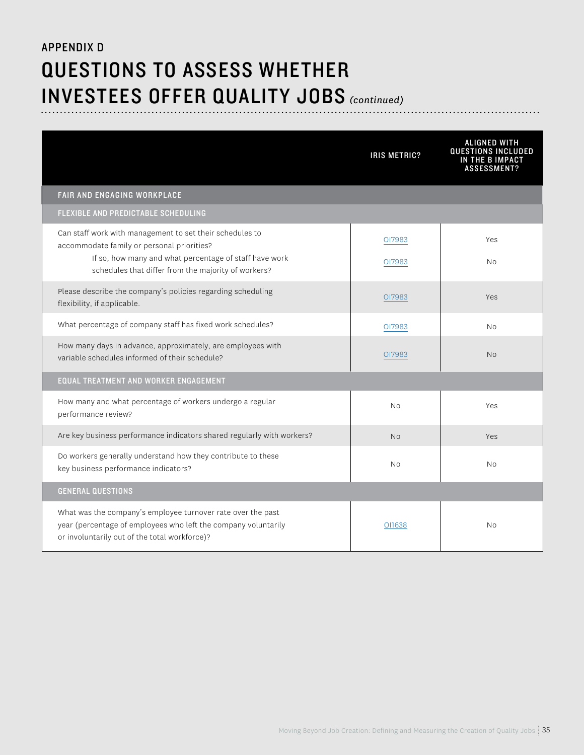## APPENDIX D QUESTIONS TO ASSESS WHETHER INVESTEES OFFER QUALITY JOBS *(continued)*

|                                                                                                                                                                                | <b>IRIS METRIC?</b> | <b>ALIGNED WITH</b><br>QUESTIONS INCLUDED<br>IN THE B IMPACT<br><b>ASSESSMENT?</b> |
|--------------------------------------------------------------------------------------------------------------------------------------------------------------------------------|---------------------|------------------------------------------------------------------------------------|
| FAIR AND ENGAGING WORKPLACE                                                                                                                                                    |                     |                                                                                    |
| FLEXIBLE AND PREDICTABLE SCHEDULING                                                                                                                                            |                     |                                                                                    |
| Can staff work with management to set their schedules to<br>accommodate family or personal priorities?                                                                         | OI7983              | Yes                                                                                |
| If so, how many and what percentage of staff have work<br>schedules that differ from the majority of workers?                                                                  | OI7983              | <b>No</b>                                                                          |
| Please describe the company's policies regarding scheduling<br>flexibility, if applicable.                                                                                     | OI7983              | Yes                                                                                |
| What percentage of company staff has fixed work schedules?                                                                                                                     | 017983              | <b>No</b>                                                                          |
| How many days in advance, approximately, are employees with<br>variable schedules informed of their schedule?                                                                  | OI7983              | <b>No</b>                                                                          |
| EQUAL TREATMENT AND WORKER ENGAGEMENT                                                                                                                                          |                     |                                                                                    |
| How many and what percentage of workers undergo a regular<br>performance review?                                                                                               | <b>No</b>           | Yes                                                                                |
| Are key business performance indicators shared regularly with workers?                                                                                                         | <b>No</b>           | Yes                                                                                |
| Do workers generally understand how they contribute to these<br>key business performance indicators?                                                                           | <b>No</b>           | <b>No</b>                                                                          |
| <b>GENERAL QUESTIONS</b>                                                                                                                                                       |                     |                                                                                    |
| What was the company's employee turnover rate over the past<br>year (percentage of employees who left the company voluntarily<br>or involuntarily out of the total workforce)? | OI1638              | No.                                                                                |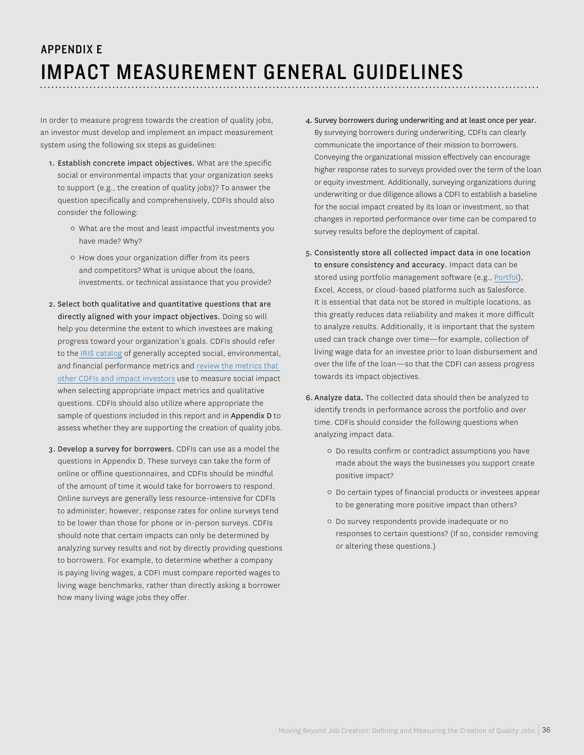## APPENDIX E IMPACT MEASUREMENT GENERAL GUIDELINES

In order to measure progress towards the creation of quality jobs, an investor must develop and implement an impact measurement system using the following six steps as guidelines:

- 1. Establish concrete impact objectives. What are the specific social or environmental impacts that your organization seeks to support (e.g., the creation of quality jobs)? To answer the question specifically and comprehensively, CDFIs should also consider the following:
	- What are the most and least impactful investments you have made? Why?
	- How does your organization differ from its peers and competitors? What is unique about the loans, investments, or technical assistance that you provide?
- 2. Select both qualitative and quantitative questions that are directly aligned with your impact objectives. Doing so will help you determine the extent to which investees are making progress toward your organization's goals. CDFIs should refer to the [IRIS catalog](https://iris.thegiin.org/) of generally accepted social, environmental, and financial performance metrics and [review the metrics that](https://iris.thegiin.org/users?filters=direct-investor)  [other CDFIs and impact investors](https://iris.thegiin.org/users?filters=direct-investor) use to measure social impact when selecting appropriate impact metrics and qualitative questions. CDFIs should also utilize where appropriate the sample of questions included in this report and in Appendix D to assess whether they are supporting the creation of quality jobs.
- 3. Develop a survey for borrowers. CDFIs can use as a model the questions in Appendix D. These surveys can take the form of online or offline questionnaires, and CDFIs should be mindful of the amount of time it would take for borrowers to respond. Online surveys are generally less resource-intensive for CDFIs to administer; however, response rates for online surveys tend to be lower than those for phone or in-person surveys. CDFIs should note that certain impacts can only be determined by analyzing survey results and not by directly providing questions to borrowers. For example, to determine whether a company is paying living wages, a CDFI must compare reported wages to living wage benchmarks, rather than directly asking a borrower how many living wage jobs they offer.
- 4. Survey borrowers during underwriting and at least once per year. By surveying borrowers during underwriting, CDFIs can clearly communicate the importance of their mission to borrowers. Conveying the organizational mission effectively can encourage higher response rates to surveys provided over the term of the loan or equity investment. Additionally, surveying organizations during underwriting or due diligence allows a CDFI to establish a baseline for the social impact created by its loan or investment, so that changes in reported performance over time can be compared to survey results before the deployment of capital.
- 5. Consistently store all collected impact data in one location to ensure consistency and accuracy. Impact data can be stored using portfolio management software (e.g.[, Portfol](http://www.portfol.com)), Excel, Access, or cloud-based platforms such as Salesforce. It is essential that data not be stored in multiple locations, as this greatly reduces data reliability and makes it more difficult to analyze results. Additionally, it is important that the system used can track change over time—for example, collection of living wage data for an investee prior to loan disbursement and over the life of the loan—so that the CDFI can assess progress towards its impact objectives.
- 6. Analyze data. The collected data should then be analyzed to identify trends in performance across the portfolio and over time. CDFIs should consider the following questions when analyzing impact data.
	- Do results confirm or contradict assumptions you have made about the ways the businesses you support create positive impact?
	- Do certain types of financial products or investees appear to be generating more positive impact than others?
	- Do survey respondents provide inadequate or no responses to certain questions? (If so, consider removing or altering these questions.)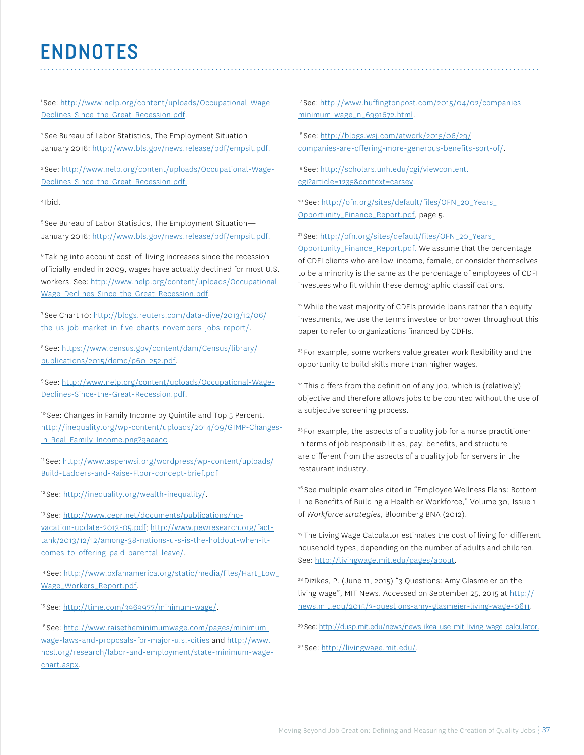## ENDNOTES

i See: [http://www.nelp.org/content/uploads/Occupational-Wage-](http://www.nelp.org/content/uploads/Occupational-Wage-Declines-Since-the-Great-Recession.pdf)[Declines-Since-the-Great-Recession.pdf](http://www.nelp.org/content/uploads/Occupational-Wage-Declines-Since-the-Great-Recession.pdf).

<sup>2</sup> See Bureau of Labor Statistics, The Employment Situation-January 2016: <http://www.bls.gov/news.release/pdf/empsit.pdf>.

3 See: [http://www.nelp.org/content/uploads/Occupational-Wage-](http://www.nelp.org/content/uploads/Occupational-Wage-Declines-Since-the-Great-Recession.pdf)[Declines-Since-the-Great-Recession.pdf](http://www.nelp.org/content/uploads/Occupational-Wage-Declines-Since-the-Great-Recession.pdf).

4 Ibid.

5 See Bureau of Labor Statistics, The Employment Situation January 2016: <http://www.bls.gov/news.release/pdf/empsit.pdf>.

<sup>6</sup> Taking into account cost-of-living increases since the recession officially ended in 2009, wages have actually declined for most U.S. workers. See: [http://www.nelp.org/content/uploads/Occupational-](http://www.nelp.org/content/uploads/Occupational-Wage-Declines-Since-the-Great-Recession.pdf)[Wage-Declines-Since-the-Great-Recession.pdf](http://www.nelp.org/content/uploads/Occupational-Wage-Declines-Since-the-Great-Recession.pdf).

7 See Chart 10: [http://blogs.reuters.com/data-dive/2013/12/06/](http://blogs.reuters.com/data-dive/2013/12/06/the-us-job-market-in-five-charts-novembers-jobs-report/) [the-us-job-market-in-five-charts-novembers-jobs-report/.](http://blogs.reuters.com/data-dive/2013/12/06/the-us-job-market-in-five-charts-novembers-jobs-report/)

8 See: [https://www.census.gov/content/dam/Census/library/](https://www.census.gov/content/dam/Census/library/publications/2015/demo/p60-252.pdf) [publications/2015/demo/p60-252.pdf](https://www.census.gov/content/dam/Census/library/publications/2015/demo/p60-252.pdf).

9 See: [http://www.nelp.org/content/uploads/Occupational-Wage-](http://www.nelp.org/content/uploads/Occupational-Wage-Declines-Since-the-Great-Recession.pdf)[Declines-Since-the-Great-Recession.pdf](http://www.nelp.org/content/uploads/Occupational-Wage-Declines-Since-the-Great-Recession.pdf).

<sup>10</sup> See: Changes in Family Income by Quintile and Top 5 Percent. [http://inequality.org/wp-content/uploads/2014/09/GIMP-Changes](http://inequality.org/wp-content/uploads/2014/09/GIMP-Changes-in-Real-Family-Income.png?9aeac0)[in-Real-Family-Income.png?9aeac0](http://inequality.org/wp-content/uploads/2014/09/GIMP-Changes-in-Real-Family-Income.png?9aeac0).

11 See: [http://www.aspenwsi.org/wordpress/wp-content/uploads/](http://www.aspenwsi.org/wordpress/wp-content/uploads/Build-Ladders-and-Raise-Floor-concept-brief.pdf) [Build-Ladders-and-Raise-Floor-concept-brief.pdf](http://www.aspenwsi.org/wordpress/wp-content/uploads/Build-Ladders-and-Raise-Floor-concept-brief.pdf)

12 See: [http://inequality.org/wealth-inequality/.](http://inequality.org/wealth-inequality/)

13 See: [http://www.cepr.net/documents/publications/no](http://www.cepr.net/documents/publications/no-vacation-update-2013-05.pdf)[vacation-update-2013-05.pdf](http://www.cepr.net/documents/publications/no-vacation-update-2013-05.pdf); [http://www.pewresearch.org/fact](http://www.pewresearch.org/fact-tank/2013/12/12/among-38-nations-u-s-is-the-holdout-when-it-comes-to)[tank/2013/12/12/among-38-nations-u-s-is-the-holdout-when-it](http://www.pewresearch.org/fact-tank/2013/12/12/among-38-nations-u-s-is-the-holdout-when-it-comes-to)[comes-to-offering-paid-parental-leave/.](http://www.pewresearch.org/fact-tank/2013/12/12/among-38-nations-u-s-is-the-holdout-when-it-comes-to)

14 See: [http://www.oxfamamerica.org/static/media/files/Hart\\_Low\\_](http://www.oxfamamerica.org/static/media/files/Hart_Low_Wage_Workers_Report.pdf) [Wage\\_Workers\\_Report.pdf](http://www.oxfamamerica.org/static/media/files/Hart_Low_Wage_Workers_Report.pdf).

15 See: <http://time.com/3969977/minimum-wage/>.

16 See: [http://www.raisetheminimumwage.com/pages/minimum](http://www.raisetheminimumwage.com/pages/minimum-wage-laws-and-proposals-for-major-u.s.-cities)[wage-laws-and-proposals-for-major-u.s.-cities](http://www.raisetheminimumwage.com/pages/minimum-wage-laws-and-proposals-for-major-u.s.-cities) and [http://www.](http://www.ncsl.org/research/labor-and-employment/state-minimum-wage-chart.aspx) [ncsl.org/research/labor-and-employment/state-minimum-wage](http://www.ncsl.org/research/labor-and-employment/state-minimum-wage-chart.aspx)[chart.aspx](http://www.ncsl.org/research/labor-and-employment/state-minimum-wage-chart.aspx).

17 See: [http://www.huffingtonpost.com/2015/04/02/companies](http://www.huffingtonpost.com/2015/04/02/companies-minimum-wage_n_6991672.html)[minimum-wage\\_n\\_6991672.html](http://www.huffingtonpost.com/2015/04/02/companies-minimum-wage_n_6991672.html).

18 See: [http://blogs.wsj.com/atwork/2015/06/29/](http://blogs.wsj.com/atwork/2015/06/29/companies-are-offering-more-generous-benefits-sort-of/) [companies-are-offering-more-generous-benefits-sort-of/](http://blogs.wsj.com/atwork/2015/06/29/companies-are-offering-more-generous-benefits-sort-of/).

19 See: [http://scholars.unh.edu/cgi/viewcontent.](http://scholars.unh.edu/cgi/viewcontent.cgi?article=1235&context=carsey) [cgi?article=1235&context=carsey](http://scholars.unh.edu/cgi/viewcontent.cgi?article=1235&context=carsey).

20 See: [http://ofn.org/sites/default/files/OFN\\_20\\_Years\\_](http://ofn.org/sites/default/files/OFN_20_Years_Opportunity_Finance_Report.pdf) [Opportunity\\_Finance\\_Report.pdf,](http://ofn.org/sites/default/files/OFN_20_Years_Opportunity_Finance_Report.pdf) page 5.

21 See: [http://ofn.org/sites/default/files/OFN\\_20\\_Years\\_](http://ofn.org/sites/default/files/OFN_20_Years_Opportunity_Finance_Report.pdf)

[Opportunity\\_Finance\\_Report.pdf.](http://ofn.org/sites/default/files/OFN_20_Years_Opportunity_Finance_Report.pdf) We assume that the percentage of CDFI clients who are low-income, female, or consider themselves to be a minority is the same as the percentage of employees of CDFI investees who fit within these demographic classifications.

<sup>22</sup> While the vast majority of CDFIs provide loans rather than equity investments, we use the terms investee or borrower throughout this paper to refer to organizations financed by CDFIs.

<sup>23</sup> For example, some workers value greater work flexibility and the opportunity to build skills more than higher wages.

<sup>24</sup> This differs from the definition of any job, which is (relatively) objective and therefore allows jobs to be counted without the use of a subjective screening process.

 $25$  For example, the aspects of a quality job for a nurse practitioner in terms of job responsibilities, pay, benefits, and structure are different from the aspects of a quality job for servers in the restaurant industry.

26 See multiple examples cited in "Employee Wellness Plans: Bottom Line Benefits of Building a Healthier Workforce," Volume 30, Issue 1 of *Workforce strategies*, Bloomberg BNA (2012).

<sup>27</sup> The Living Wage Calculator estimates the cost of living for different household types, depending on the number of adults and children. See: [http://livingwage.mit.edu/pages/about.](http://livingwage.mit.edu/pages/about)

<sup>28</sup> Dizikes, P. (June 11, 2015) "3 Questions: Amy Glasmeier on the living wage", MIT News. Accessed on September 25, 2015 at [http://](http://news.mit.edu/2015/3-questions-amy-glasmeier-living-wage-0611) [news.mit.edu/2015/3-questions-amy-glasmeier-living-wage-0611.](http://news.mit.edu/2015/3-questions-amy-glasmeier-living-wage-0611)

<sup>29</sup> See: <http://dusp.mit.edu/news/news-ikea-use-mit-living-wage-calculator>.

30 See: <http://livingwage.mit.edu/>.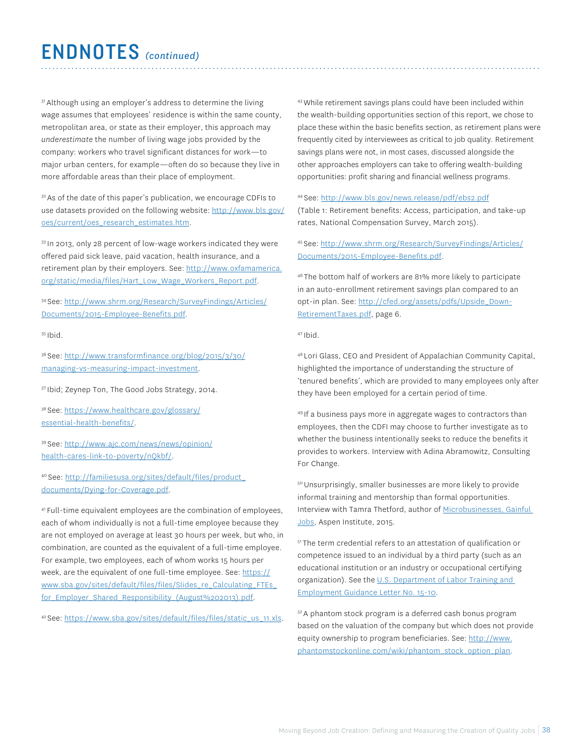## ENDNOTES *(continued)*

<sup>31</sup> Although using an employer's address to determine the living wage assumes that employees' residence is within the same county, metropolitan area, or state as their employer, this approach may *underestimate* the number of living wage jobs provided by the company: workers who travel significant distances for work—to major urban centers, for example—often do so because they live in more affordable areas than their place of employment.

32 As of the date of this paper's publication, we encourage CDFIs to use datasets provided on the following website: [http://www.bls.gov/](http://www.bls.gov/oes/current/oes_research_estimates.htm) [oes/current/oes\\_research\\_estimates.htm.](http://www.bls.gov/oes/current/oes_research_estimates.htm)

33 In 2013, only 28 percent of low-wage workers indicated they were offered paid sick leave, paid vacation, health insurance, and a retirement plan by their employers. See: [http://www.oxfamamerica.](http://www.oxfamamerica.org/static/media/files/Hart_Low_Wage_Workers_Report.pdf) [org/static/media/files/Hart\\_Low\\_Wage\\_Workers\\_Report.pdf](http://www.oxfamamerica.org/static/media/files/Hart_Low_Wage_Workers_Report.pdf).

34 See: [http://www.shrm.org/Research/SurveyFindings/Articles/](http://www.shrm.org/Research/SurveyFindings/Articles/Documents/2015-Employee-Benefits.pdf) [Documents/2015-Employee-Benefits.pdf](http://www.shrm.org/Research/SurveyFindings/Articles/Documents/2015-Employee-Benefits.pdf).

 $35$  Ibid.

36 See: [http://www.transformfinance.org/blog/2015/3/30/](http://www.transformfinance.org/blog/2015/3/30/managing-vs-measuring-impact-investment) [managing-vs-measuring-impact-investment.](http://www.transformfinance.org/blog/2015/3/30/managing-vs-measuring-impact-investment)

37 Ibid; Zeynep Ton, The Good Jobs Strategy, 2014.

38 See: [https://www.healthcare.gov/glossary/](https://www.healthcare.gov/glossary/essential-health-benefits/) [essential-health-benefits/.](https://www.healthcare.gov/glossary/essential-health-benefits/)

39 See: [http://www.ajc.com/news/news/opinion/](http://www.ajc.com/news/news/opinion/health-cares-link-to-poverty/nQkbf/) [health-cares-link-to-poverty/nQkbf/](http://www.ajc.com/news/news/opinion/health-cares-link-to-poverty/nQkbf/).

40 See: [http://familiesusa.org/sites/default/files/product\\_](http://familiesusa.org/sites/default/files/product_documents/Dying-for-Coverage.pdf) [documents/Dying-for-Coverage.pdf.](http://familiesusa.org/sites/default/files/product_documents/Dying-for-Coverage.pdf)

41 Full-time equivalent employees are the combination of employees, each of whom individually is not a full-time employee because they are not employed on average at least 30 hours per week, but who, in combination, are counted as the equivalent of a full-time employee. For example, two employees, each of whom works 15 hours per week, are the equivalent of one full-time employee. See: [https://](https://www.sba.gov/sites/default/files/files/Slides_re_Calculating_FTEs_for_Employer_Shared_Responsibility_(August%202013).pdf) [www.sba.gov/sites/default/files/files/Slides\\_re\\_Calculating\\_FTEs\\_](https://www.sba.gov/sites/default/files/files/Slides_re_Calculating_FTEs_for_Employer_Shared_Responsibility_(August%202013).pdf) [for\\_Employer\\_Shared\\_Responsibility\\_\(August%202013\).pdf](https://www.sba.gov/sites/default/files/files/Slides_re_Calculating_FTEs_for_Employer_Shared_Responsibility_(August%202013).pdf).

42 See: [https://www.sba.gov/sites/default/files/files/static\\_us\\_11.xls](https://www.sba.gov/sites/default/files/files/static_us_11.xls).

43 While retirement savings plans could have been included within the wealth-building opportunities section of this report, we chose to place these within the basic benefits section, as retirement plans were frequently cited by interviewees as critical to job quality. Retirement savings plans were not, in most cases, discussed alongside the other approaches employers can take to offering wealth-building opportunities: profit sharing and financial wellness programs.

44 See: <http://www.bls.gov/news.release/pdf/ebs2.pdf> (Table 1: Retirement benefits: Access, participation, and take-up rates, National Compensation Survey, March 2015).

45 See: [http://www.shrm.org/Research/SurveyFindings/Articles/](http://www.shrm.org/Research/SurveyFindings/Articles/Documents/2015-Employee-Benefits.pdf) [Documents/2015-Employee-Benefits.pdf](http://www.shrm.org/Research/SurveyFindings/Articles/Documents/2015-Employee-Benefits.pdf).

<sup>46</sup> The bottom half of workers are 81% more likely to participate in an auto-enrollment retirement savings plan compared to an opt-in plan. See: [http://cfed.org/assets/pdfs/Upside\\_Down-](http://cfed.org/assets/pdfs/Upside_Down-RetirementTaxes.pdf)[RetirementTaxes.pdf](http://cfed.org/assets/pdfs/Upside_Down-RetirementTaxes.pdf), page 6.

47 Ibid.

48 Lori Glass, CEO and President of Appalachian Community Capital, highlighted the importance of understanding the structure of 'tenured benefits', which are provided to many employees only after they have been employed for a certain period of time.

49 If a business pays more in aggregate wages to contractors than employees, then the CDFI may choose to further investigate as to whether the business intentionally seeks to reduce the benefits it provides to workers. Interview with Adina Abramowitz, Consulting For Change.

50 Unsurprisingly, smaller businesses are more likely to provide informal training and mentorship than formal opportunities. Interview with Tamra Thetford, author of Microbusinesses, Gainful [Jobs,](http://www.aspeninstitute.org/publications/microbusinesses-gainful-jobs) Aspen Institute, 2015.

<sup>51</sup> The term credential refers to an attestation of qualification or competence issued to an individual by a third party (such as an educational institution or an industry or occupational certifying organization). See the U.S. Department of Labor Training and [Employment Guidance Letter No. 15-10](http://wdr.doleta.gov/directives/attach/TEGL15-10.pdf).

<sup>52</sup> A phantom stock program is a deferred cash bonus program based on the valuation of the company but which does not provide equity ownership to program beneficiaries. See: [http://www.](http://www.phantomstockonline.com/wiki/phantom_stock_option_plan) [phantomstockonline.com/wiki/phantom\\_stock\\_option\\_plan](http://www.phantomstockonline.com/wiki/phantom_stock_option_plan).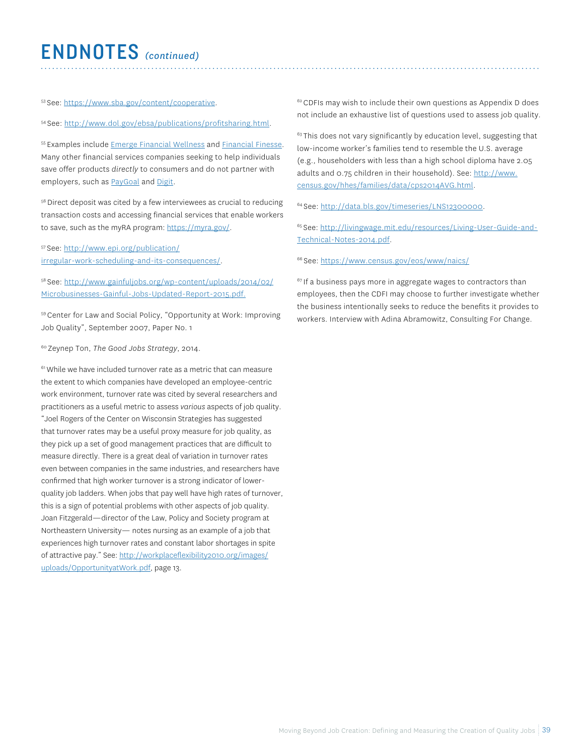#### 53 See: [https://www.sba.gov/content/cooperative.](https://www.sba.gov/content/cooperative)

54 See:<http://www.dol.gov/ebsa/publications/profitsharing.html>.

55 Examples include [Emerge Financial Wellness](https://www.emergebenefit.com) and [Financial Finesse.](http://www.financialfinesse.com/) Many other financial services companies seeking to help individuals save offer products *directly* to consumers and do not partner with employers, such as [PayGoal](http://join.paygoal.co/) and [Digit.](http://digit.co/)

<sup>56</sup> Direct deposit was cited by a few interviewees as crucial to reducing transaction costs and accessing financial services that enable workers to save, such as the myRA program: [https://myra.gov/.](https://myra.gov/)

57 See: [http://www.epi.org/publication/](http://www.epi.org/publication/irregular-work-scheduling-and-its-consequences/) [irregular-work-scheduling-and-its-consequences/](http://www.epi.org/publication/irregular-work-scheduling-and-its-consequences/).

58 See: [http://www.gainfuljobs.org/wp-content/uploads/2014/02/](http://www.gainfuljobs.org/wp-content/uploads/2014/02/Microbusinesses-Gainful-Jobs-Updated-Report-2015.pdf) [Microbusinesses-Gainful-Jobs-Updated-Report-2015.pdf](http://www.gainfuljobs.org/wp-content/uploads/2014/02/Microbusinesses-Gainful-Jobs-Updated-Report-2015.pdf).

59 Center for Law and Social Policy, "Opportunity at Work: Improving Job Quality", September 2007, Paper No. 1

60 Zeynep Ton, *The Good Jobs Strategy*, 2014.

<sup>61</sup> While we have included turnover rate as a metric that can measure the extent to which companies have developed an employee-centric work environment, turnover rate was cited by several researchers and practitioners as a useful metric to assess *various* aspects of job quality. "Joel Rogers of the Center on Wisconsin Strategies has suggested that turnover rates may be a useful proxy measure for job quality, as they pick up a set of good management practices that are difficult to measure directly. There is a great deal of variation in turnover rates even between companies in the same industries, and researchers have confirmed that high worker turnover is a strong indicator of lowerquality job ladders. When jobs that pay well have high rates of turnover, this is a sign of potential problems with other aspects of job quality. Joan Fitzgerald—director of the Law, Policy and Society program at Northeastern University— notes nursing as an example of a job that experiences high turnover rates and constant labor shortages in spite of attractive pay." See: [http://workplaceflexibility2010.org/images/](http://workplaceflexibility2010.org/images/uploads/OpportunityatWork.pdf) [uploads/OpportunityatWork.pdf,](http://workplaceflexibility2010.org/images/uploads/OpportunityatWork.pdf) page 13.

 $62$  CDFIs may wish to include their own questions as Appendix D does not include an exhaustive list of questions used to assess job quality.

 $63$  This does not vary significantly by education level, suggesting that low-income worker's families tend to resemble the U.S. average (e.g., householders with less than a high school diploma have 2.05 adults and 0.75 children in their household). See: [http://www.](http://www.census.gov/hhes/families/data/cps2014AVG.html) [census.gov/hhes/families/data/cps2014AVG.html](http://www.census.gov/hhes/families/data/cps2014AVG.html).

64 See:<http://data.bls.gov/timeseries/LNS12300000>.

65 See: [http://livingwage.mit.edu/resources/Living-User-Guide-and-](http://livingwage.mit.edu/resources/Living-User-Guide-and-Technical-Notes-2014.pdf)[Technical-Notes-2014.pdf.](http://livingwage.mit.edu/resources/Living-User-Guide-and-Technical-Notes-2014.pdf)

<sup>66</sup> See:<https://www.census.gov/eos/www/naics/>

 $67$  If a business pays more in aggregate wages to contractors than employees, then the CDFI may choose to further investigate whether the business intentionally seeks to reduce the benefits it provides to workers. Interview with Adina Abramowitz, Consulting For Change.